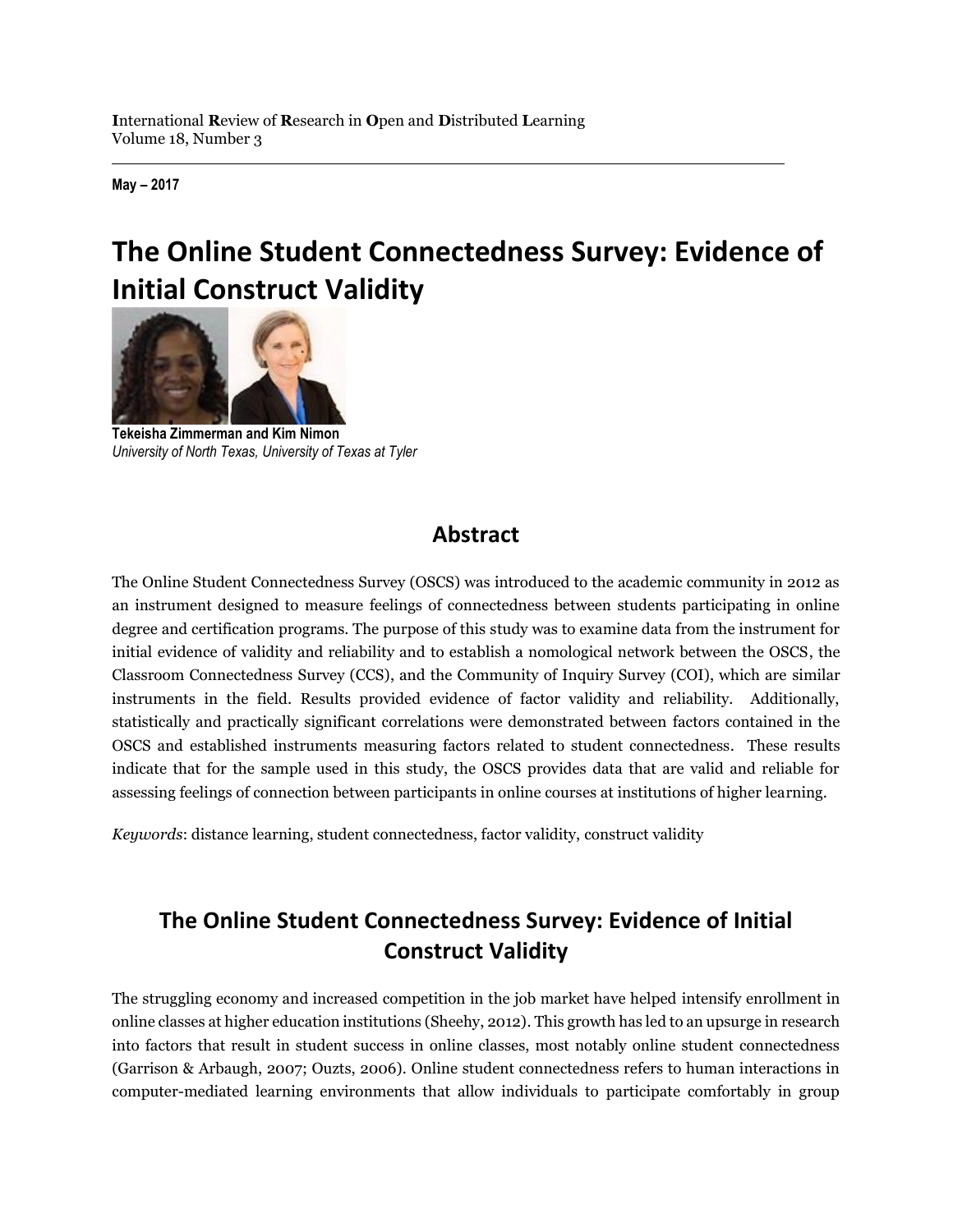**May – 2017**

# **The Online Student Connectedness Survey: Evidence of Initial Construct Validity**



**Tekeisha Zimmerman and Kim Nimon** *University of North Texas, University of Texas at Tyler*

## **Abstract**

The Online Student Connectedness Survey (OSCS) was introduced to the academic community in 2012 as an instrument designed to measure feelings of connectedness between students participating in online degree and certification programs. The purpose of this study was to examine data from the instrument for initial evidence of validity and reliability and to establish a nomological network between the OSCS, the Classroom Connectedness Survey (CCS), and the Community of Inquiry Survey (COI), which are similar instruments in the field. Results provided evidence of factor validity and reliability. Additionally, statistically and practically significant correlations were demonstrated between factors contained in the OSCS and established instruments measuring factors related to student connectedness. These results indicate that for the sample used in this study, the OSCS provides data that are valid and reliable for assessing feelings of connection between participants in online courses at institutions of higher learning.

*Keywords*: distance learning, student connectedness, factor validity, construct validity

## **The Online Student Connectedness Survey: Evidence of Initial Construct Validity**

The struggling economy and increased competition in the job market have helped intensify enrollment in online classes at higher education institutions (Sheehy, 2012). This growth has led to an upsurge in research into factors that result in student success in online classes, most notably online student connectedness (Garrison & Arbaugh, 2007; Ouzts, 2006). Online student connectedness refers to human interactions in computer-mediated learning environments that allow individuals to participate comfortably in group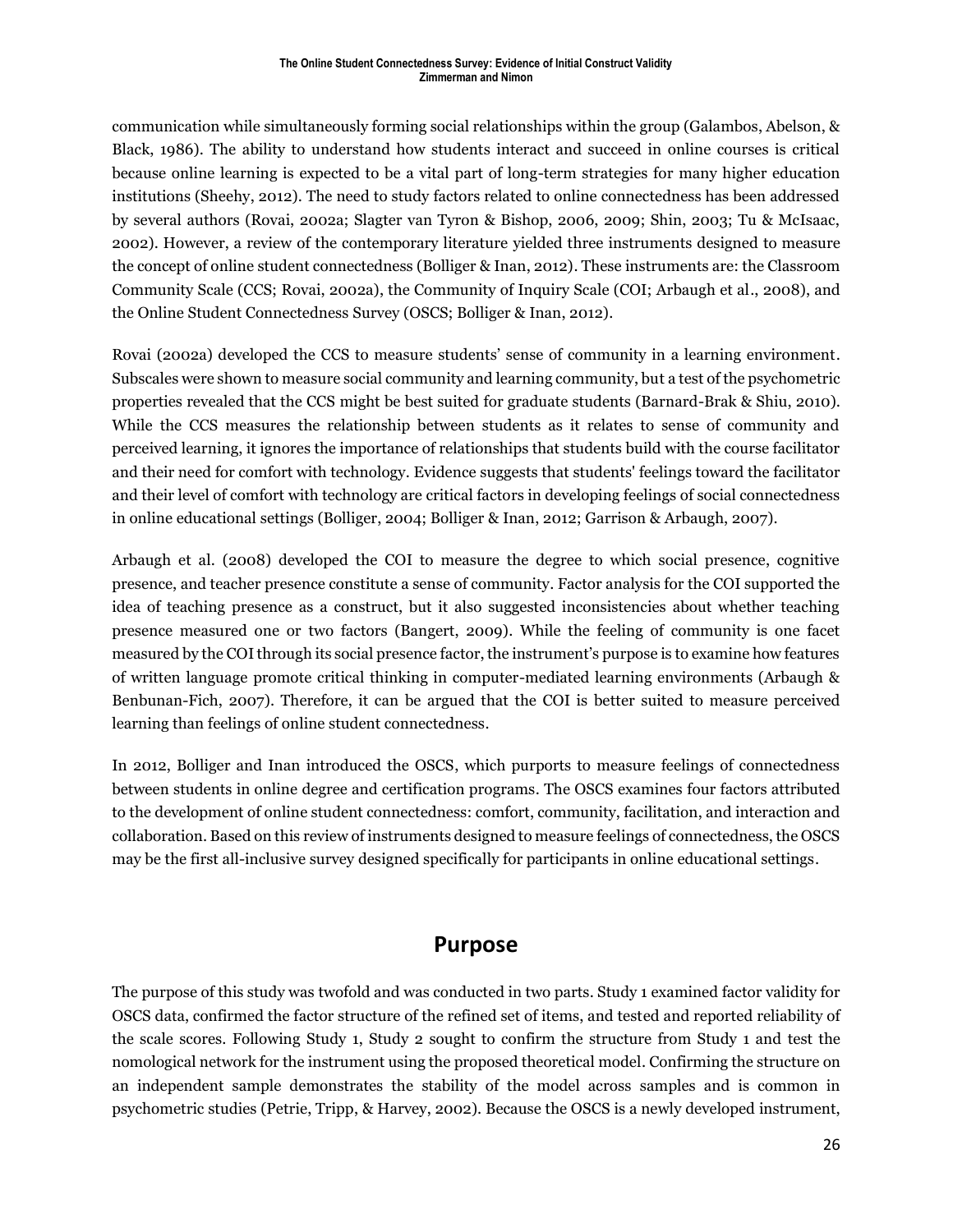communication while simultaneously forming social relationships within the group (Galambos, Abelson, & Black, 1986). The ability to understand how students interact and succeed in online courses is critical because online learning is expected to be a vital part of long-term strategies for many higher education institutions (Sheehy, 2012). The need to study factors related to online connectedness has been addressed by several authors (Rovai, 2002a; Slagter van Tyron & Bishop, 2006, 2009; Shin, 2003; Tu & McIsaac, 2002). However, a review of the contemporary literature yielded three instruments designed to measure the concept of online student connectedness (Bolliger & Inan, 2012). These instruments are: the Classroom Community Scale (CCS; Rovai, 2002a), the Community of Inquiry Scale (COI; Arbaugh et al., 2008), and the Online Student Connectedness Survey (OSCS; Bolliger & Inan, 2012).

Rovai (2002a) developed the CCS to measure students' sense of community in a learning environment. Subscales were shown to measure social community and learning community, but a test of the psychometric properties revealed that the CCS might be best suited for graduate students (Barnard-Brak & Shiu, 2010). While the CCS measures the relationship between students as it relates to sense of community and perceived learning, it ignores the importance of relationships that students build with the course facilitator and their need for comfort with technology. Evidence suggests that students' feelings toward the facilitator and their level of comfort with technology are critical factors in developing feelings of social connectedness in online educational settings (Bolliger, 2004; Bolliger & Inan, 2012; Garrison & Arbaugh, 2007).

Arbaugh et al. (2008) developed the COI to measure the degree to which social presence, cognitive presence, and teacher presence constitute a sense of community. Factor analysis for the COI supported the idea of teaching presence as a construct, but it also suggested inconsistencies about whether teaching presence measured one or two factors (Bangert, 2009). While the feeling of community is one facet measured by the COI through its social presence factor, the instrument's purpose is to examine how features of written language promote critical thinking in computer-mediated learning environments (Arbaugh & Benbunan-Fich, 2007). Therefore, it can be argued that the COI is better suited to measure perceived learning than feelings of online student connectedness.

In 2012, Bolliger and Inan introduced the OSCS, which purports to measure feelings of connectedness between students in online degree and certification programs. The OSCS examines four factors attributed to the development of online student connectedness: comfort, community, facilitation, and interaction and collaboration. Based on this review of instruments designed to measure feelings of connectedness, the OSCS may be the first all-inclusive survey designed specifically for participants in online educational settings.

### **Purpose**

The purpose of this study was twofold and was conducted in two parts. Study 1 examined factor validity for OSCS data, confirmed the factor structure of the refined set of items, and tested and reported reliability of the scale scores. Following Study 1, Study 2 sought to confirm the structure from Study 1 and test the nomological network for the instrument using the proposed theoretical model. Confirming the structure on an independent sample demonstrates the stability of the model across samples and is common in psychometric studies (Petrie, Tripp, & Harvey, 2002). Because the OSCS is a newly developed instrument,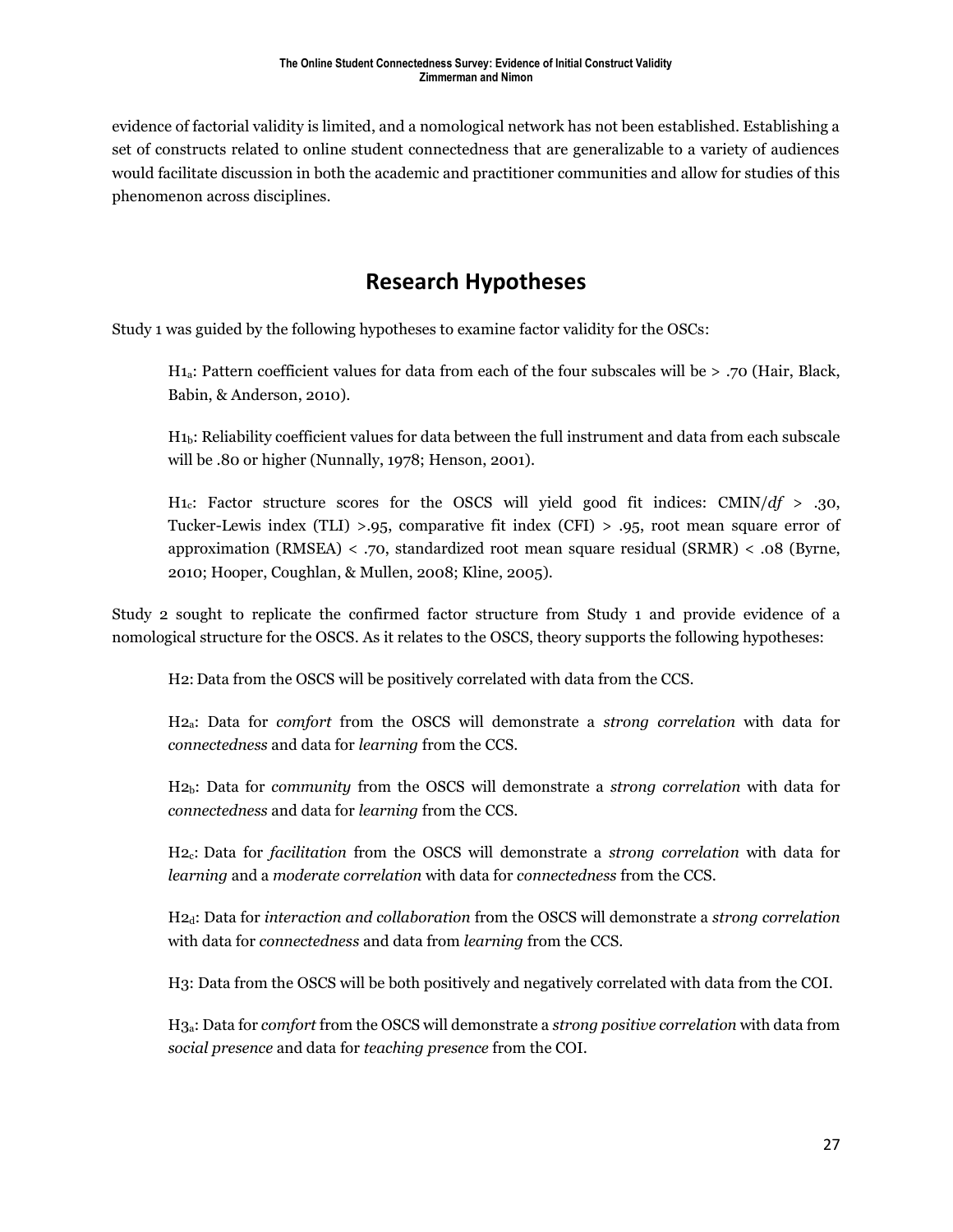evidence of factorial validity is limited, and a nomological network has not been established. Establishing a set of constructs related to online student connectedness that are generalizable to a variety of audiences would facilitate discussion in both the academic and practitioner communities and allow for studies of this phenomenon across disciplines.

## **Research Hypotheses**

Study 1 was guided by the following hypotheses to examine factor validity for the OSCs:

 $\rm{H}_{1a}$ : Pattern coefficient values for data from each of the four subscales will be > .70 (Hair, Black, Babin, & Anderson, 2010).

H1b: Reliability coefficient values for data between the full instrument and data from each subscale will be .80 or higher (Nunnally, 1978; Henson, 2001).

H1c: Factor structure scores for the OSCS will yield good fit indices: CMIN/*df* > .30, Tucker-Lewis index (TLI) >.95, comparative fit index (CFI) > .95, root mean square error of approximation (RMSEA) < .70, standardized root mean square residual (SRMR) < .08 (Byrne, 2010; Hooper, Coughlan, & Mullen, 2008; Kline, 2005).

Study 2 sought to replicate the confirmed factor structure from Study 1 and provide evidence of a nomological structure for the OSCS. As it relates to the OSCS, theory supports the following hypotheses:

H2: Data from the OSCS will be positively correlated with data from the CCS.

H2a: Data for *comfort* from the OSCS will demonstrate a *strong correlation* with data for *connectedness* and data for *learning* from the CCS.

H2b: Data for *community* from the OSCS will demonstrate a *strong correlation* with data for *connectedness* and data for *learning* from the CCS.

H2c: Data for *facilitation* from the OSCS will demonstrate a *strong correlation* with data for *learning* and a *moderate correlation* with data for *connectedness* from the CCS.

H2d: Data for *interaction and collaboration* from the OSCS will demonstrate a *strong correlation* with data for *connectedness* and data from *learning* from the CCS.

H3: Data from the OSCS will be both positively and negatively correlated with data from the COI.

H3a: Data for *comfort* from the OSCS will demonstrate a *strong positive correlation* with data from *social presence* and data for *teaching presence* from the COI.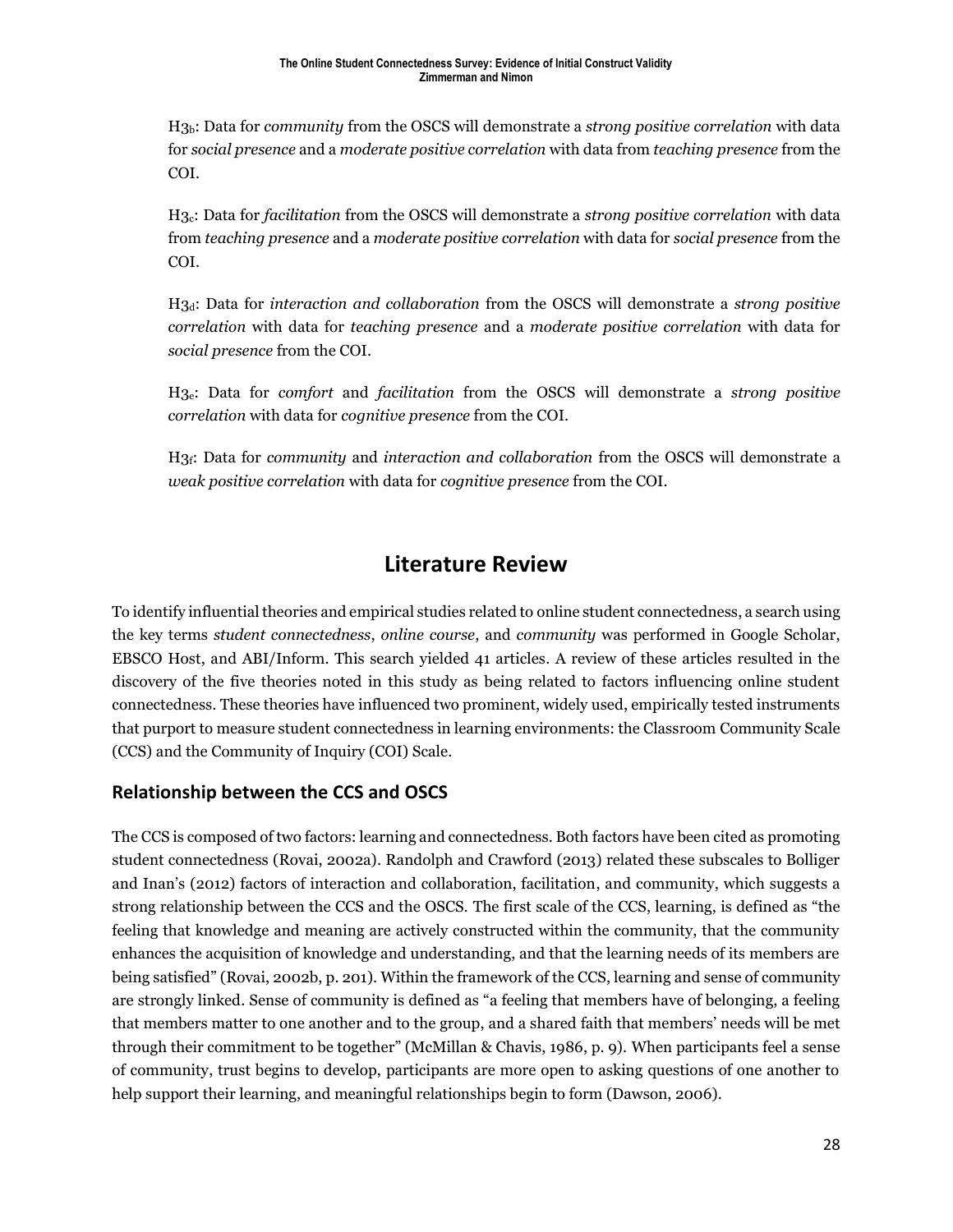H3b: Data for *community* from the OSCS will demonstrate a *strong positive correlation* with data for *social presence* and a *moderate positive correlation* with data from *teaching presence* from the COI.

H3c: Data for *facilitation* from the OSCS will demonstrate a *strong positive correlation* with data from *teaching presence* and a *moderate positive correlation* with data for *social presence* from the COI.

H3d: Data for *interaction and collaboration* from the OSCS will demonstrate a *strong positive correlation* with data for *teaching presence* and a *moderate positive correlation* with data for *social presence* from the COI.

H3e: Data for *comfort* and *facilitation* from the OSCS will demonstrate a *strong positive correlation* with data for *cognitive presence* from the COI.

H3f: Data for *community* and *interaction and collaboration* from the OSCS will demonstrate a *weak positive correlation* with data for *cognitive presence* from the COI.

## **Literature Review**

To identify influential theories and empirical studies related to online student connectedness, a search using the key terms *student connectedness*, *online course*, and *community* was performed in Google Scholar, EBSCO Host, and ABI/Inform. This search yielded 41 articles. A review of these articles resulted in the discovery of the five theories noted in this study as being related to factors influencing online student connectedness. These theories have influenced two prominent, widely used, empirically tested instruments that purport to measure student connectedness in learning environments: the Classroom Community Scale (CCS) and the Community of Inquiry (COI) Scale.

### **Relationship between the CCS and OSCS**

The CCS is composed of two factors: learning and connectedness. Both factors have been cited as promoting student connectedness (Rovai, 2002a). Randolph and Crawford (2013) related these subscales to Bolliger and Inan's (2012) factors of interaction and collaboration, facilitation, and community, which suggests a strong relationship between the CCS and the OSCS. The first scale of the CCS, learning, is defined as "the feeling that knowledge and meaning are actively constructed within the community, that the community enhances the acquisition of knowledge and understanding, and that the learning needs of its members are being satisfied" (Rovai, 2002b, p. 201). Within the framework of the CCS, learning and sense of community are strongly linked. Sense of community is defined as "a feeling that members have of belonging, a feeling that members matter to one another and to the group, and a shared faith that members' needs will be met through their commitment to be together" (McMillan & Chavis, 1986, p. 9). When participants feel a sense of community, trust begins to develop, participants are more open to asking questions of one another to help support their learning, and meaningful relationships begin to form (Dawson, 2006).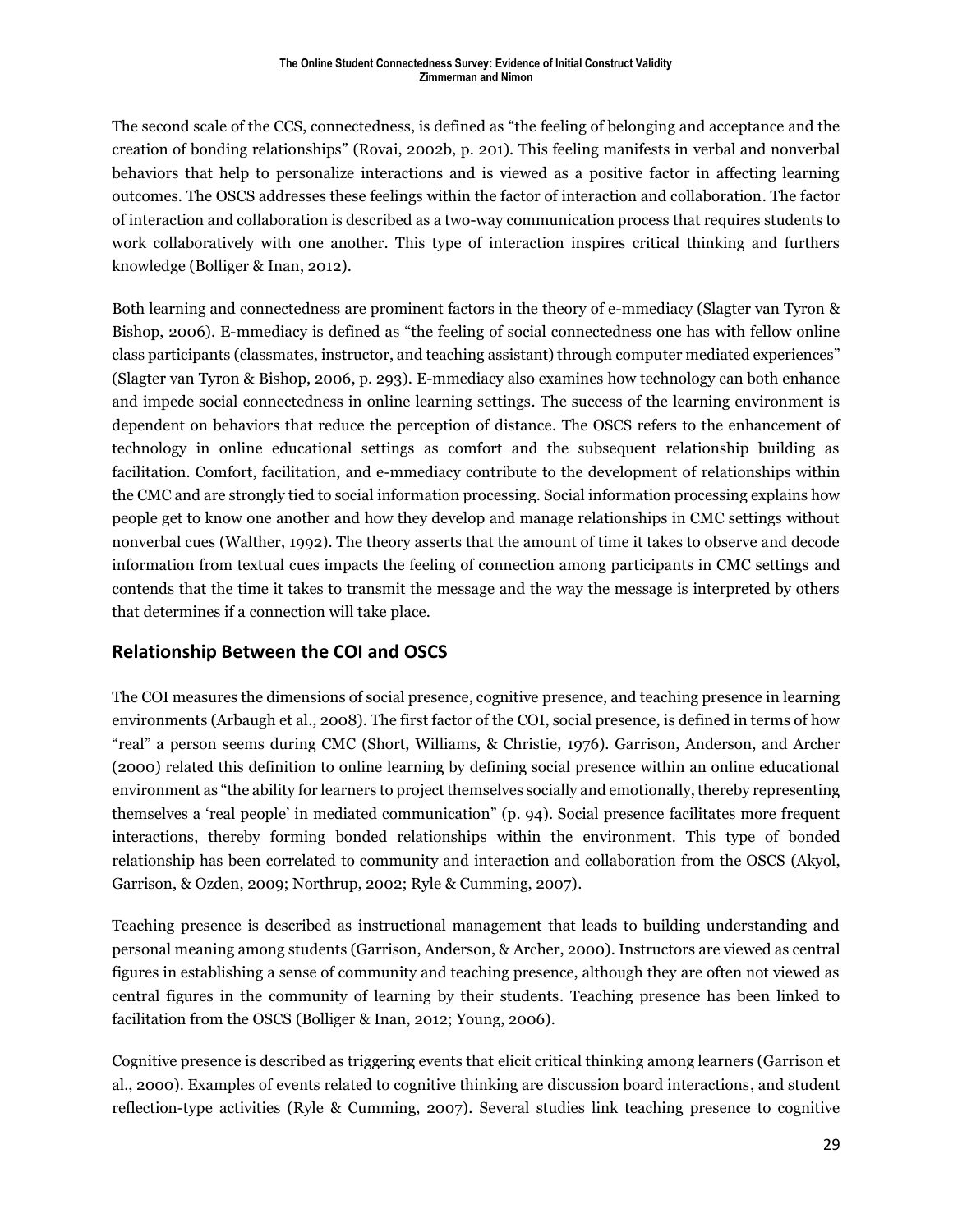The second scale of the CCS, connectedness, is defined as "the feeling of belonging and acceptance and the creation of bonding relationships" (Rovai, 2002b, p. 201). This feeling manifests in verbal and nonverbal behaviors that help to personalize interactions and is viewed as a positive factor in affecting learning outcomes. The OSCS addresses these feelings within the factor of interaction and collaboration. The factor of interaction and collaboration is described as a two-way communication process that requires students to work collaboratively with one another. This type of interaction inspires critical thinking and furthers knowledge (Bolliger & Inan, 2012).

Both learning and connectedness are prominent factors in the theory of e-mmediacy (Slagter van Tyron & Bishop, 2006). E-mmediacy is defined as "the feeling of social connectedness one has with fellow online class participants (classmates, instructor, and teaching assistant) through computer mediated experiences" (Slagter van Tyron & Bishop, 2006, p. 293). E-mmediacy also examines how technology can both enhance and impede social connectedness in online learning settings. The success of the learning environment is dependent on behaviors that reduce the perception of distance. The OSCS refers to the enhancement of technology in online educational settings as comfort and the subsequent relationship building as facilitation. Comfort, facilitation, and e-mmediacy contribute to the development of relationships within the CMC and are strongly tied to social information processing. Social information processing explains how people get to know one another and how they develop and manage relationships in CMC settings without nonverbal cues (Walther, 1992). The theory asserts that the amount of time it takes to observe and decode information from textual cues impacts the feeling of connection among participants in CMC settings and contends that the time it takes to transmit the message and the way the message is interpreted by others that determines if a connection will take place.

#### **Relationship Between the COI and OSCS**

The COI measures the dimensions of social presence, cognitive presence, and teaching presence in learning environments (Arbaugh et al., 2008). The first factor of the COI, social presence, is defined in terms of how "real" a person seems during CMC (Short, Williams, & Christie, 1976). Garrison, Anderson, and Archer (2000) related this definition to online learning by defining social presence within an online educational environment as "the ability for learners to project themselves socially and emotionally, thereby representing themselves a 'real people' in mediated communication" (p. 94). Social presence facilitates more frequent interactions, thereby forming bonded relationships within the environment. This type of bonded relationship has been correlated to community and interaction and collaboration from the OSCS (Akyol, Garrison, & Ozden, 2009; Northrup, 2002; Ryle & Cumming, 2007).

Teaching presence is described as instructional management that leads to building understanding and personal meaning among students (Garrison, Anderson, & Archer, 2000). Instructors are viewed as central figures in establishing a sense of community and teaching presence, although they are often not viewed as central figures in the community of learning by their students. Teaching presence has been linked to facilitation from the OSCS (Bolliger & Inan, 2012; Young, 2006).

Cognitive presence is described as triggering events that elicit critical thinking among learners (Garrison et al., 2000). Examples of events related to cognitive thinking are discussion board interactions, and student reflection-type activities (Ryle & Cumming, 2007). Several studies link teaching presence to cognitive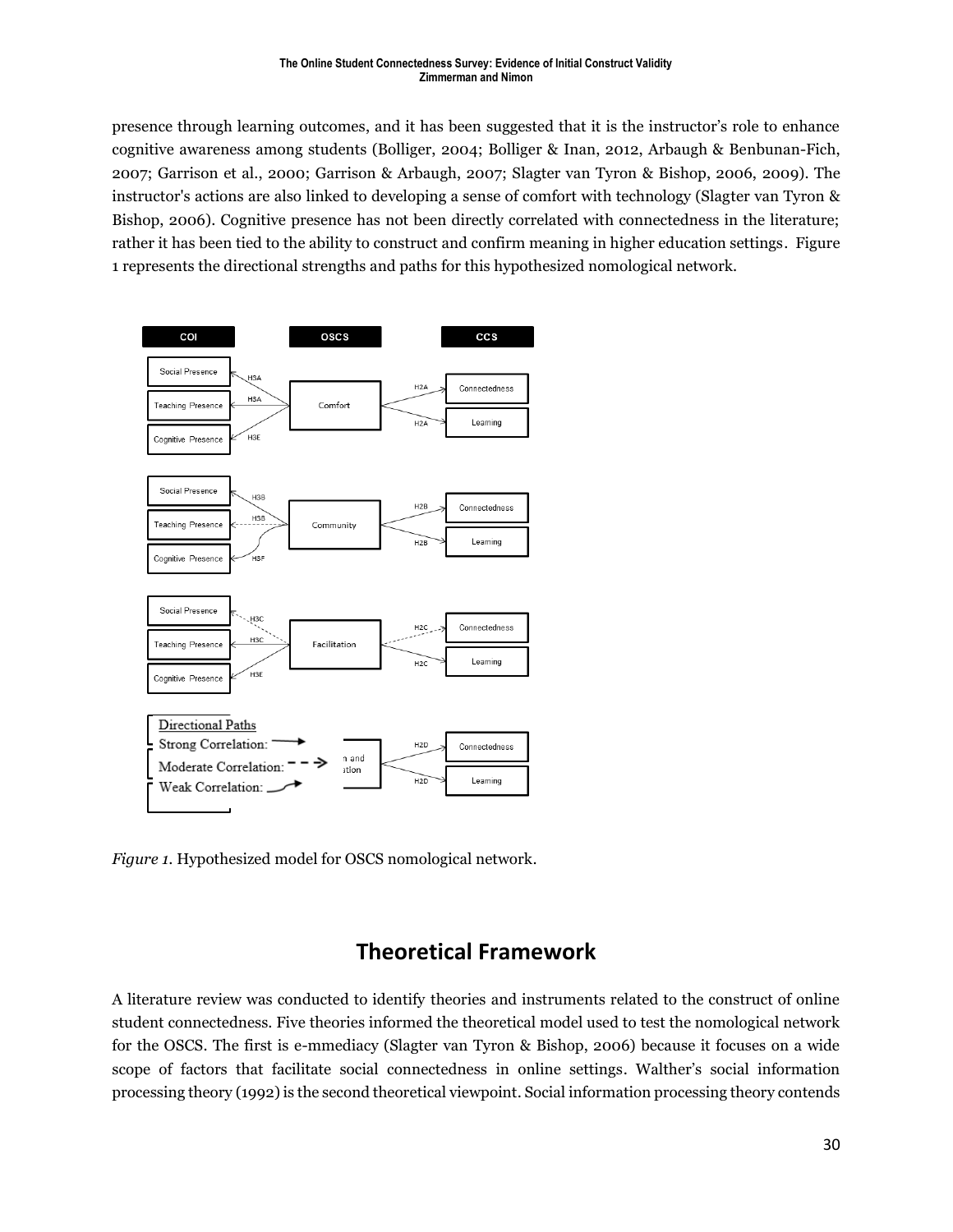presence through learning outcomes, and it has been suggested that it is the instructor's role to enhance cognitive awareness among students (Bolliger, 2004; Bolliger & Inan, 2012, Arbaugh & Benbunan-Fich, 2007; Garrison et al., 2000; Garrison & Arbaugh, 2007; Slagter van Tyron & Bishop, 2006, 2009). The instructor's actions are also linked to developing a sense of comfort with technology (Slagter van Tyron & Bishop, 2006). Cognitive presence has not been directly correlated with connectedness in the literature; rather it has been tied to the ability to construct and confirm meaning in higher education settings. Figure 1 represents the directional strengths and paths for this hypothesized nomological network.



*Figure 1*. Hypothesized model for OSCS nomological network.

### **Theoretical Framework**

A literature review was conducted to identify theories and instruments related to the construct of online student connectedness. Five theories informed the theoretical model used to test the nomological network for the OSCS. The first is e-mmediacy (Slagter van Tyron & Bishop, 2006) because it focuses on a wide scope of factors that facilitate social connectedness in online settings. Walther's social information processing theory (1992) is the second theoretical viewpoint. Social information processing theory contends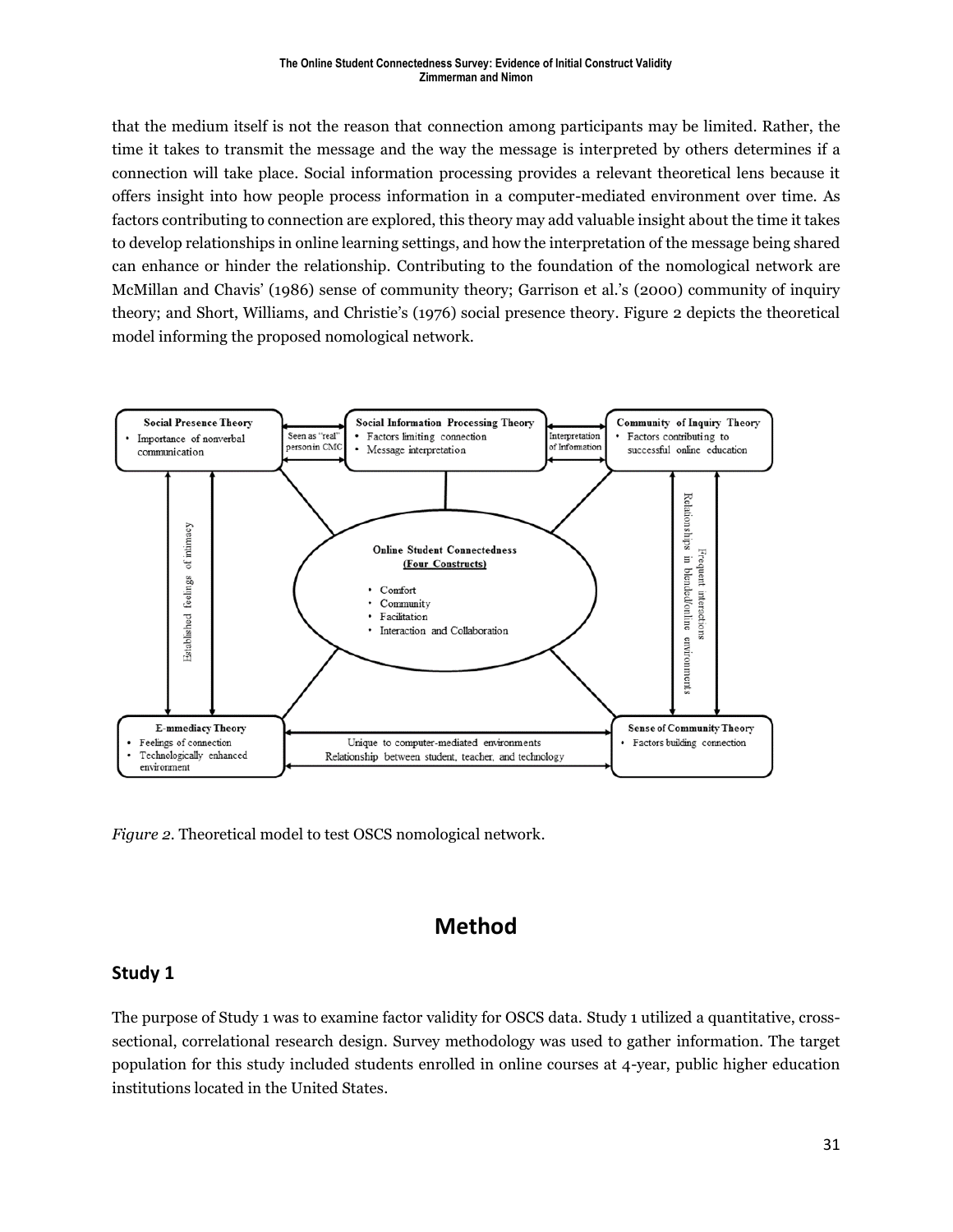that the medium itself is not the reason that connection among participants may be limited. Rather, the time it takes to transmit the message and the way the message is interpreted by others determines if a connection will take place. Social information processing provides a relevant theoretical lens because it offers insight into how people process information in a computer-mediated environment over time. As factors contributing to connection are explored, this theory may add valuable insight about the time it takes to develop relationships in online learning settings, and how the interpretation of the message being shared can enhance or hinder the relationship. Contributing to the foundation of the nomological network are McMillan and Chavis' (1986) sense of community theory; Garrison et al.'s (2000) community of inquiry theory; and Short, Williams, and Christie's (1976) social presence theory. Figure 2 depicts the theoretical model informing the proposed nomological network.



*Figure 2.* Theoretical model to test OSCS nomological network.

### **Method**

#### **Study 1**

The purpose of Study 1 was to examine factor validity for OSCS data. Study 1 utilized a quantitative, crosssectional, correlational research design. Survey methodology was used to gather information. The target population for this study included students enrolled in online courses at 4-year, public higher education institutions located in the United States.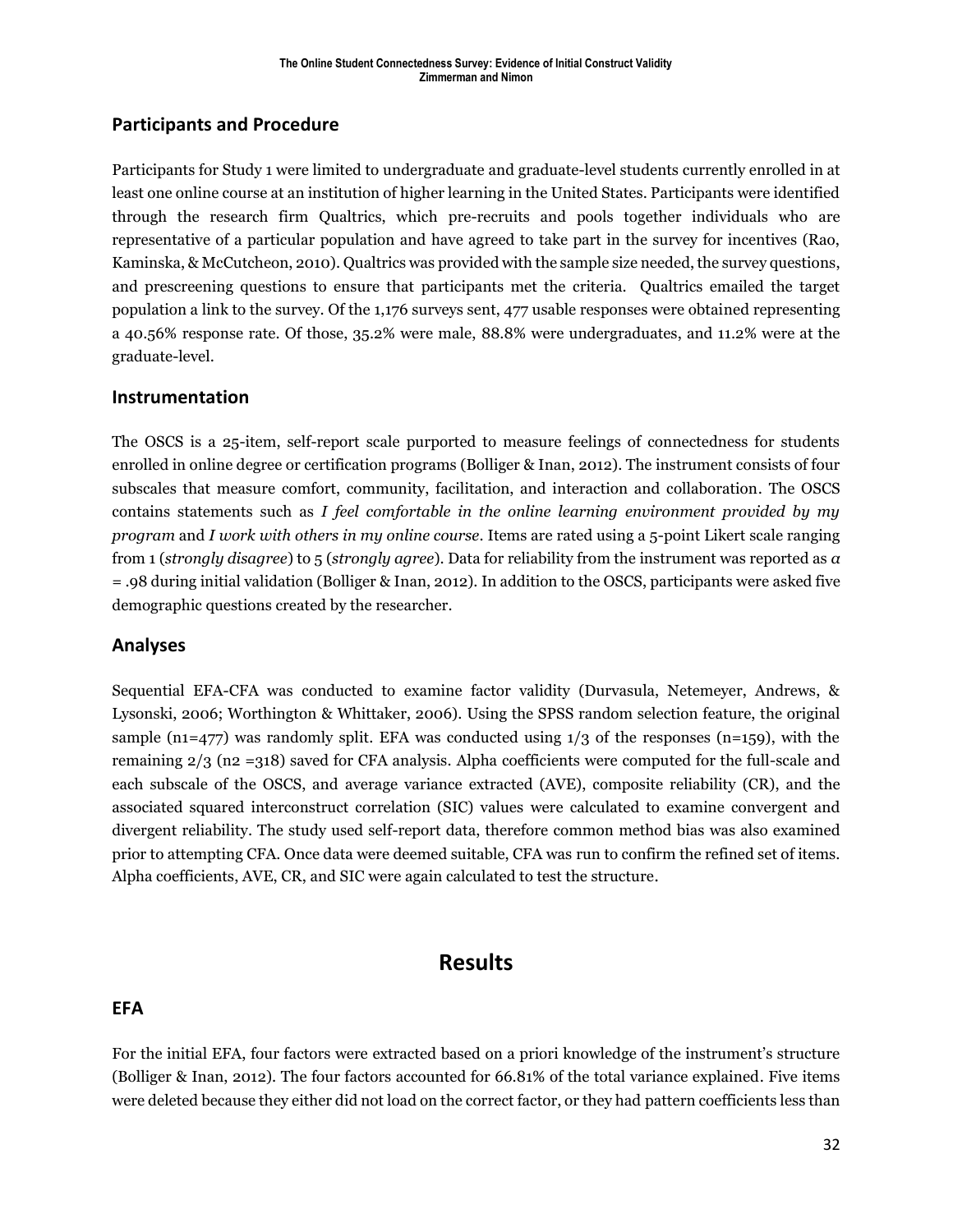#### **Participants and Procedure**

Participants for Study 1 were limited to undergraduate and graduate-level students currently enrolled in at least one online course at an institution of higher learning in the United States. Participants were identified through the research firm Qualtrics, which pre-recruits and pools together individuals who are representative of a particular population and have agreed to take part in the survey for incentives (Rao, Kaminska, & McCutcheon, 2010). Qualtrics was provided with the sample size needed, the survey questions, and prescreening questions to ensure that participants met the criteria. Qualtrics emailed the target population a link to the survey. Of the 1,176 surveys sent, 477 usable responses were obtained representing a 40.56% response rate. Of those, 35.2% were male, 88.8% were undergraduates, and 11.2% were at the graduate-level.

#### **Instrumentation**

The OSCS is a 25-item, self-report scale purported to measure feelings of connectedness for students enrolled in online degree or certification programs (Bolliger & Inan, 2012). The instrument consists of four subscales that measure comfort, community, facilitation, and interaction and collaboration. The OSCS contains statements such as *I feel comfortable in the online learning environment provided by my program* and *I work with others in my online course*. Items are rated using a 5-point Likert scale ranging from 1 (*strongly disagree*) to 5 (*strongly agree*). Data for reliability from the instrument was reported as *α* = .98 during initial validation (Bolliger & Inan, 2012). In addition to the OSCS, participants were asked five demographic questions created by the researcher.

#### **Analyses**

Sequential EFA-CFA was conducted to examine factor validity (Durvasula, Netemeyer, Andrews, & Lysonski, 2006; Worthington & Whittaker, 2006). Using the SPSS random selection feature, the original sample (n1=477) was randomly split. EFA was conducted using  $1/3$  of the responses (n=159), with the remaining 2/3 (n2 =318) saved for CFA analysis. Alpha coefficients were computed for the full-scale and each subscale of the OSCS, and average variance extracted (AVE), composite reliability (CR), and the associated squared interconstruct correlation (SIC) values were calculated to examine convergent and divergent reliability. The study used self-report data, therefore common method bias was also examined prior to attempting CFA. Once data were deemed suitable, CFA was run to confirm the refined set of items. Alpha coefficients, AVE, CR, and SIC were again calculated to test the structure.

### **Results**

#### **EFA**

For the initial EFA, four factors were extracted based on a priori knowledge of the instrument's structure (Bolliger & Inan, 2012). The four factors accounted for 66.81% of the total variance explained. Five items were deleted because they either did not load on the correct factor, or they had pattern coefficients less than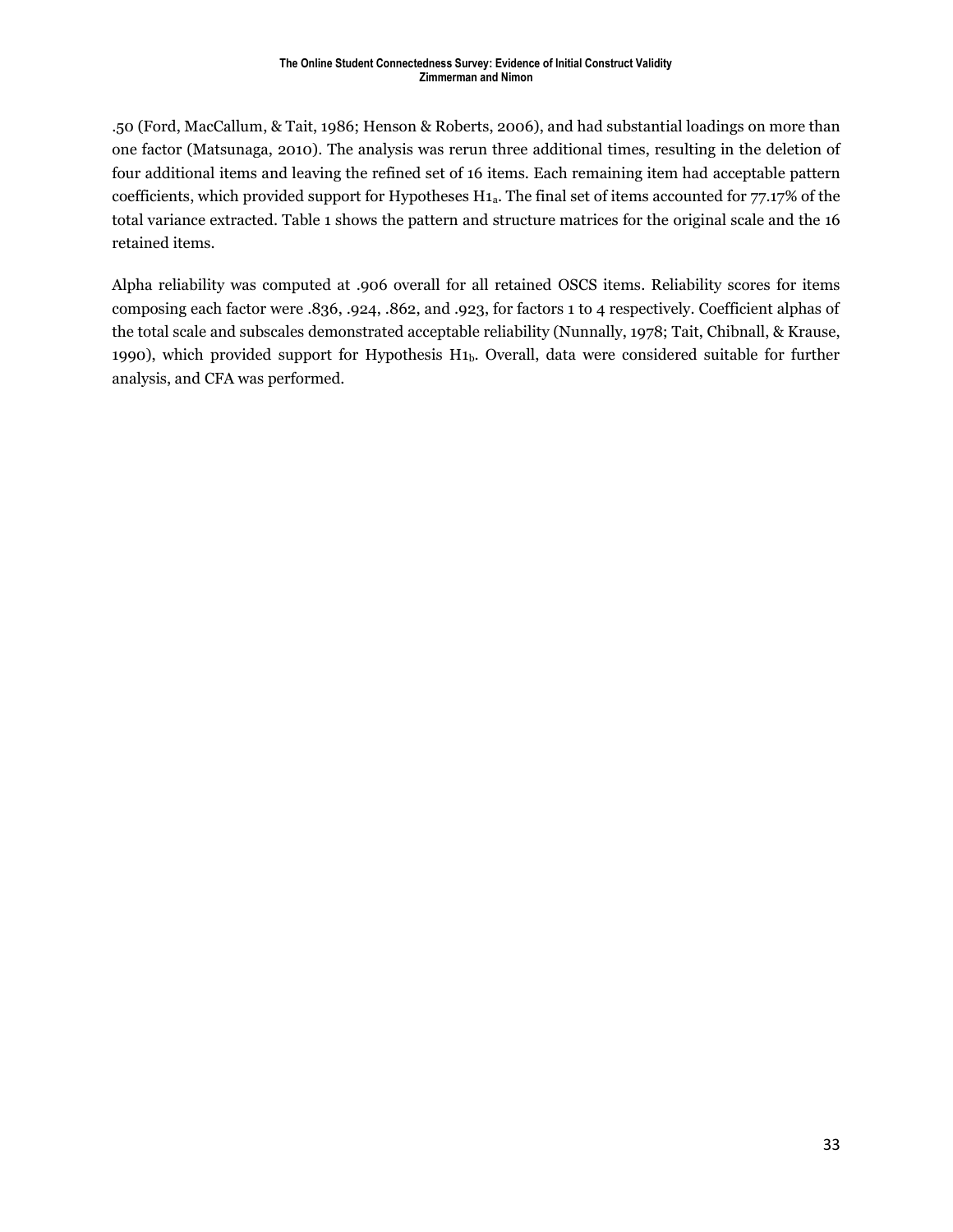.50 (Ford, MacCallum, & Tait, 1986; Henson & Roberts, 2006), and had substantial loadings on more than one factor (Matsunaga, 2010). The analysis was rerun three additional times, resulting in the deletion of four additional items and leaving the refined set of 16 items. Each remaining item had acceptable pattern coefficients, which provided support for Hypotheses H1a. The final set of items accounted for 77.17% of the total variance extracted. Table 1 shows the pattern and structure matrices for the original scale and the 16 retained items.

Alpha reliability was computed at .906 overall for all retained OSCS items. Reliability scores for items composing each factor were .836, .924, .862, and .923, for factors 1 to 4 respectively. Coefficient alphas of the total scale and subscales demonstrated acceptable reliability (Nunnally, 1978; Tait, Chibnall, & Krause, 1990), which provided support for Hypothesis H1b. Overall, data were considered suitable for further analysis, and CFA was performed.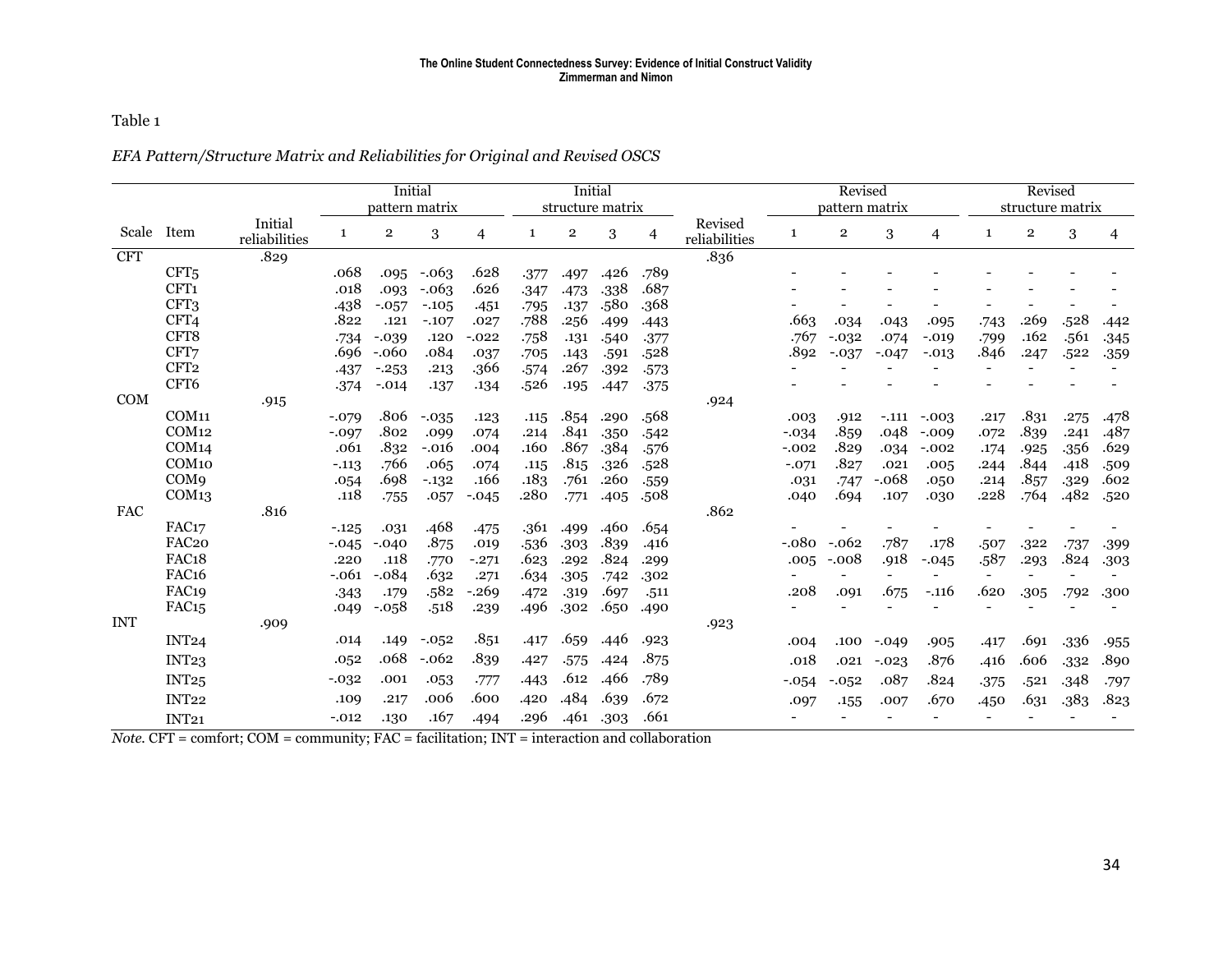#### Table 1

#### *EFA Pattern/Structure Matrix and Reliabilities for Original and Revised OSCS*

|            |                   |                          |          | Initial                 |          |         | Initial |      |                  |      | Revised                  |         |                | Revised |         |                          |                  |      |        |
|------------|-------------------|--------------------------|----------|-------------------------|----------|---------|---------|------|------------------|------|--------------------------|---------|----------------|---------|---------|--------------------------|------------------|------|--------|
|            |                   |                          |          | pattern matrix          |          |         |         |      | structure matrix |      |                          |         | pattern matrix |         |         |                          | structure matrix |      |        |
| Scale      | Item              | Initial<br>reliabilities |          | $\overline{\mathbf{c}}$ | 3        | 4       | 1       | 2    | 3                | 4    | Revised<br>reliabilities | 1       | $\overline{2}$ | 3       | 4       | 1                        | 2                | 3    | 4      |
| <b>CFT</b> |                   | .829                     |          |                         |          |         |         |      |                  |      | .836                     |         |                |         |         |                          |                  |      |        |
|            | CFT <sub>5</sub>  |                          | .068     | .095                    | $-.063$  | .628    | .377    | .497 | .426             | .789 |                          |         |                |         |         |                          |                  |      |        |
|            | CFT <sub>1</sub>  |                          | .018     | .093                    | $-.063$  | .626    | .347    | .473 | .338             | .687 |                          |         |                |         |         |                          |                  |      |        |
|            | CFT <sub>3</sub>  |                          | .438     | $-.057$                 | $-105$   | .451    | .795    | .137 | .580             | .368 |                          |         |                |         |         |                          |                  |      |        |
|            | CFT <sub>4</sub>  |                          | .822     | .121                    | $-.107$  | .027    | .788    | .256 | .499             | .443 |                          | .663    | .034           | .043    | .095    | .743                     | .269             | .528 | .442   |
|            | CFT8              |                          | .734     | $-.039$                 | .120     | $-.022$ | .758    | .131 | .540             | .377 |                          | .767    | $-.032$        | .074    | $-.019$ | .799                     | .162             | .561 | $-345$ |
|            | CFT7              |                          | .696     | $-.060$                 | .084     | .037    | .705    | .143 | .591             | .528 |                          | .892    | $-.037$        | $-.047$ | $-.013$ | .846                     | .247             | .522 | .359   |
|            | CFT <sub>2</sub>  |                          | $-437$   | $-253$                  | .213     | .366    | .574    | .267 | .392             | .573 |                          |         |                |         |         |                          |                  |      |        |
|            | CFT6              |                          | .374     | $-.014$                 | .137     | .134    | .526    | .195 | .447             | .375 |                          |         |                |         |         |                          |                  |      |        |
| <b>COM</b> |                   | .915                     |          |                         |          |         |         |      |                  |      | .924                     |         |                |         |         |                          |                  |      |        |
|            | COM11             |                          | $-.079$  | .806                    | $-0.035$ | .123    | .115    | .854 | .290             | .568 |                          | .003    | .912           | $-.111$ | $-.003$ | .217                     | .831             | .275 | .478   |
|            | COM12             |                          | $-.097$  | .802                    | .099     | .074    | .214    | .841 | .350             | .542 |                          | $-.034$ | .859           | .048    | $-.009$ | .072                     | .839             | .241 | .487   |
|            | COM14             |                          | .061     | .832                    | $-.016$  | .004    | .160    | .867 | .384             | .576 |                          | $-.002$ | .829           | .034    | $-.002$ | .174                     | .925             | .356 | .629   |
|            | COM10             |                          | $-.113$  | .766                    | .065     | .074    | .115    | .815 | .326             | .528 |                          | $-.071$ | .827           | .021    | .005    | .244                     | .844             | .418 | .509   |
|            | COM <sub>9</sub>  |                          | .054     | .698                    | $-0.132$ | .166    | .183    | .761 | .260             | .559 |                          | .031    | .747           | $-.068$ | .050    | .214                     | .857             | .329 | .602   |
|            | COM13             |                          | .118     | .755                    | .057     | $-.045$ | .280    | .771 | .405             | .508 |                          | .040    | .694           | .107    | .030    | .228                     | .764             | .482 | .520   |
| <b>FAC</b> |                   | .816                     |          |                         |          |         |         |      |                  |      | .862                     |         |                |         |         |                          |                  |      |        |
|            | FAC <sub>17</sub> |                          | $-125$   | .031                    | .468     | .475    | .361    | .499 | .460             | .654 |                          |         |                |         |         |                          |                  |      |        |
|            | FAC <sub>20</sub> |                          | $-0.045$ | $-.040$                 | .875     | .019    | .536    | .303 | .839             | .416 |                          | $-080$  | $-.062$        | .787    | .178    | .507                     | .322             | .737 | .399   |
|            | FAC <sub>18</sub> |                          | .220     | .118                    | .770     | $-.271$ | .623    | .292 | .824             | .299 |                          | .005    | $-.008$        | .918    | $-.045$ | .587                     | .293             | .824 | .303   |
|            | FAC <sub>16</sub> |                          | $-.061$  | $-.084$                 | .632     | .271    | .634    | .305 | .742             | .302 |                          |         |                |         |         | $\overline{\phantom{0}}$ |                  |      |        |
|            | FAC <sub>19</sub> |                          | $-343$   | .179                    | .582     | $-.269$ | .472    | .319 | .697             | .511 |                          | .208    | .091           | .675    | -.116   | .620                     | .305             | .792 | .300   |
|            | <b>FAC15</b>      |                          | .049     | $-.058$                 | .518     | .239    | .496    | .302 | .650             | .490 |                          |         |                |         |         |                          |                  |      |        |
| <b>INT</b> |                   | .909                     |          |                         |          |         |         |      |                  |      | .923                     |         |                |         |         |                          |                  |      |        |
|            | INT24             |                          | .014     | .149                    | $-0.052$ | .851    | .417    | .659 | .446             | .923 |                          | .004    | .100           | $-.049$ | .905    | .417                     | .691             | .336 | .955   |
|            | INT23             |                          | .052     | .068                    | $-.062$  | .839    | .427    | .575 | .424             | .875 |                          | .018    | .021           | $-.023$ | .876    | .416                     | .606             | .332 | .890   |
|            | INT25             |                          | $-0.032$ | .001                    | .053     | .777    | .443    | .612 | .466             | .789 |                          | $-.054$ | $-0.052$       | .087    | .824    | .375                     | .521             | .348 | .797   |
|            | <b>INT22</b>      |                          | .109     | .217                    | .006     | .600    | .420    | .484 | .639             | .672 |                          | .097    | .155           | .007    | .670    | .450                     | .631             | .383 | .823   |
|            | <b>INT21</b>      |                          | $-.012$  | .130                    | .167     | .494    | .296    | .461 | .303             | .661 |                          |         |                |         |         |                          |                  |      |        |

*Note.* CFT = comfort; COM = community; FAC = facilitation; INT = interaction and collaboration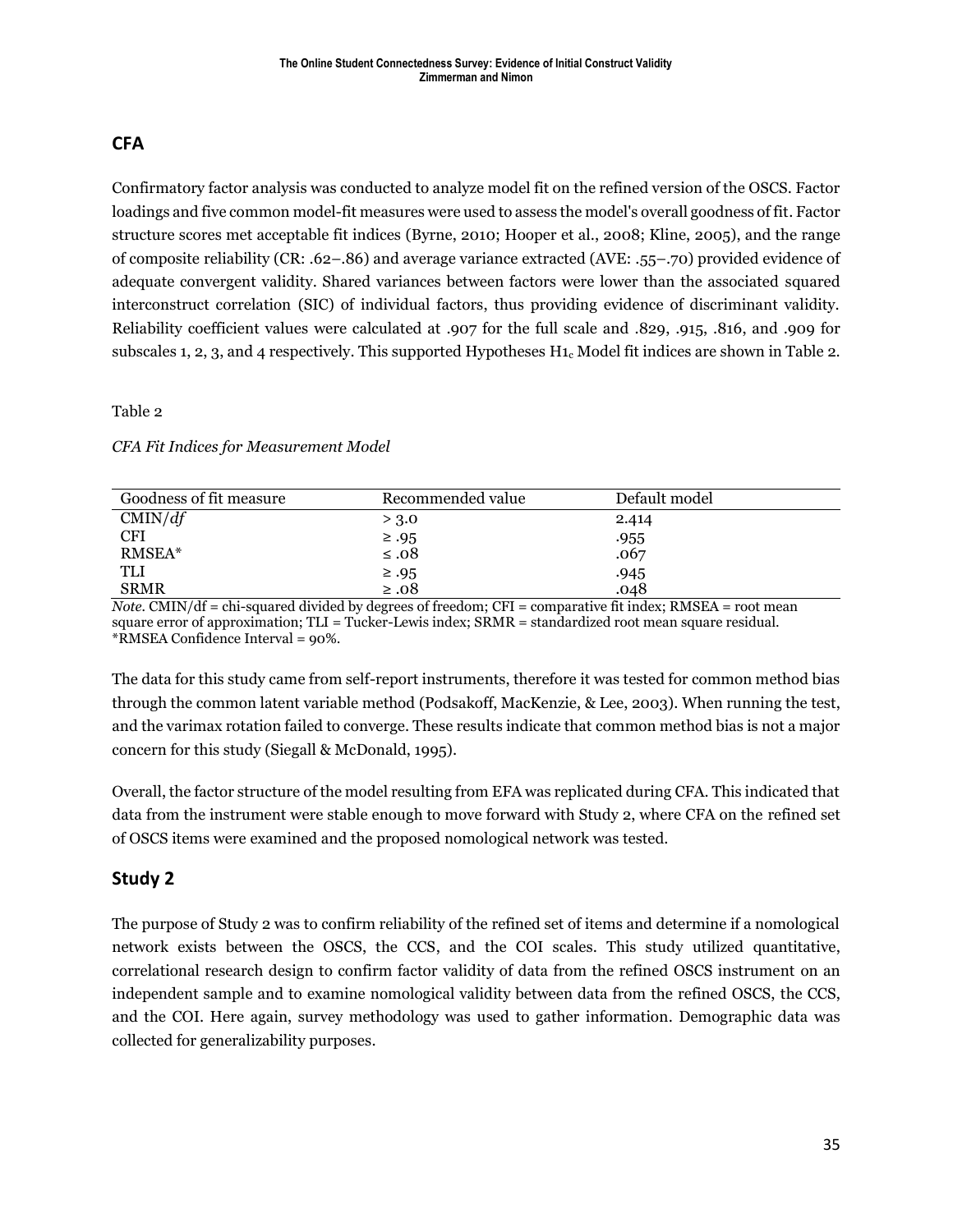#### **CFA**

Confirmatory factor analysis was conducted to analyze model fit on the refined version of the OSCS. Factor loadings and five common model-fit measures were used to assess the model's overall goodness of fit. Factor structure scores met acceptable fit indices (Byrne, 2010; Hooper et al., 2008; Kline, 2005), and the range of composite reliability (CR: .62–.86) and average variance extracted (AVE: .55–.70) provided evidence of adequate convergent validity. Shared variances between factors were lower than the associated squared interconstruct correlation (SIC) of individual factors, thus providing evidence of discriminant validity. Reliability coefficient values were calculated at .907 for the full scale and .829, .915, .816, and .909 for subscales 1, 2, 3, and 4 respectively. This supported Hypotheses  $H_1$ <sub>c</sub> Model fit indices are shown in Table 2.

#### Table 2

#### *CFA Fit Indices for Measurement Model*

| Goodness of fit measure | Recommended value | Default model |
|-------------------------|-------------------|---------------|
| CMIN/df                 | > 3.0             | 2.414         |
| <b>CFI</b>              | $\geq .95$        | .955          |
| RMSEA*                  | $\leq .08$        | .067          |
| <b>TLI</b>              | $\geq .95$        | .945          |
| <b>SRMR</b>             | $\geq .08$        | .048          |

*Note.* CMIN/df = chi-squared divided by degrees of freedom; CFI = comparative fit index; RMSEA = root mean square error of approximation; TLI = Tucker-Lewis index; SRMR = standardized root mean square residual. \*RMSEA Confidence Interval = 90%.

The data for this study came from self-report instruments, therefore it was tested for common method bias through the common latent variable method (Podsakoff, MacKenzie, & Lee, 2003). When running the test, and the varimax rotation failed to converge. These results indicate that common method bias is not a major concern for this study (Siegall & McDonald, 1995).

Overall, the factor structure of the model resulting from EFA was replicated during CFA. This indicated that data from the instrument were stable enough to move forward with Study 2, where CFA on the refined set of OSCS items were examined and the proposed nomological network was tested.

#### **Study 2**

The purpose of Study 2 was to confirm reliability of the refined set of items and determine if a nomological network exists between the OSCS, the CCS, and the COI scales. This study utilized quantitative, correlational research design to confirm factor validity of data from the refined OSCS instrument on an independent sample and to examine nomological validity between data from the refined OSCS, the CCS, and the COI. Here again, survey methodology was used to gather information. Demographic data was collected for generalizability purposes.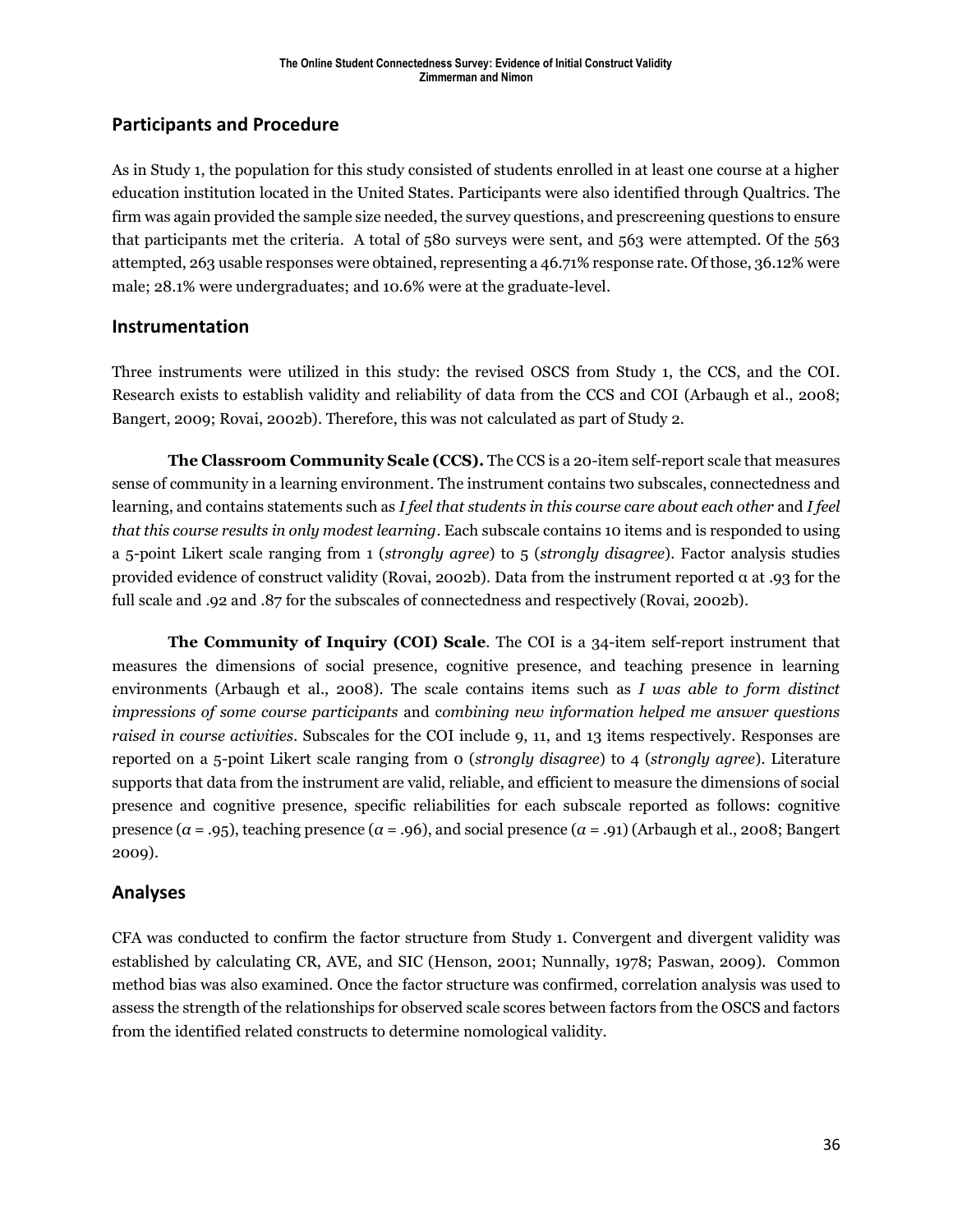#### **Participants and Procedure**

As in Study 1, the population for this study consisted of students enrolled in at least one course at a higher education institution located in the United States. Participants were also identified through Qualtrics. The firm was again provided the sample size needed, the survey questions, and prescreening questions to ensure that participants met the criteria. A total of 580 surveys were sent, and 563 were attempted. Of the 563 attempted, 263 usable responses were obtained, representing a 46.71% response rate. Of those, 36.12% were male; 28.1% were undergraduates; and 10.6% were at the graduate-level.

#### **Instrumentation**

Three instruments were utilized in this study: the revised OSCS from Study 1, the CCS, and the COI. Research exists to establish validity and reliability of data from the CCS and COI (Arbaugh et al., 2008; Bangert, 2009; Rovai, 2002b). Therefore, this was not calculated as part of Study 2.

**The Classroom Community Scale (CCS).** The CCS is a 20-item self-report scale that measures sense of community in a learning environment. The instrument contains two subscales, connectedness and learning, and contains statements such as *I feel that students in this course care about each other* and *I feel that this course results in only modest learning.* Each subscale contains 10 items and is responded to using a 5-point Likert scale ranging from 1 (*strongly agree*) to 5 (*strongly disagree*). Factor analysis studies provided evidence of construct validity (Rovai, 2002b). Data from the instrument reported α at .93 for the full scale and .92 and .87 for the subscales of connectedness and respectively (Rovai, 2002b).

**The Community of Inquiry (COI) Scale**. The COI is a 34-item self-report instrument that measures the dimensions of social presence, cognitive presence, and teaching presence in learning environments (Arbaugh et al., 2008). The scale contains items such as *I was able to form distinct impressions of some course participants* and c*ombining new information helped me answer questions raised in course activities.* Subscales for the COI include 9, 11, and 13 items respectively. Responses are reported on a 5-point Likert scale ranging from 0 (*strongly disagree*) to 4 (*strongly agree*). Literature supports that data from the instrument are valid, reliable, and efficient to measure the dimensions of social presence and cognitive presence, specific reliabilities for each subscale reported as follows: cognitive presence (*α* = .95), teaching presence (*α* = .96), and social presence (*α* = .91) (Arbaugh et al., 2008; Bangert 2009).

#### **Analyses**

CFA was conducted to confirm the factor structure from Study 1. Convergent and divergent validity was established by calculating CR, AVE, and SIC (Henson, 2001; Nunnally, 1978; Paswan, 2009). Common method bias was also examined. Once the factor structure was confirmed, correlation analysis was used to assess the strength of the relationships for observed scale scores between factors from the OSCS and factors from the identified related constructs to determine nomological validity.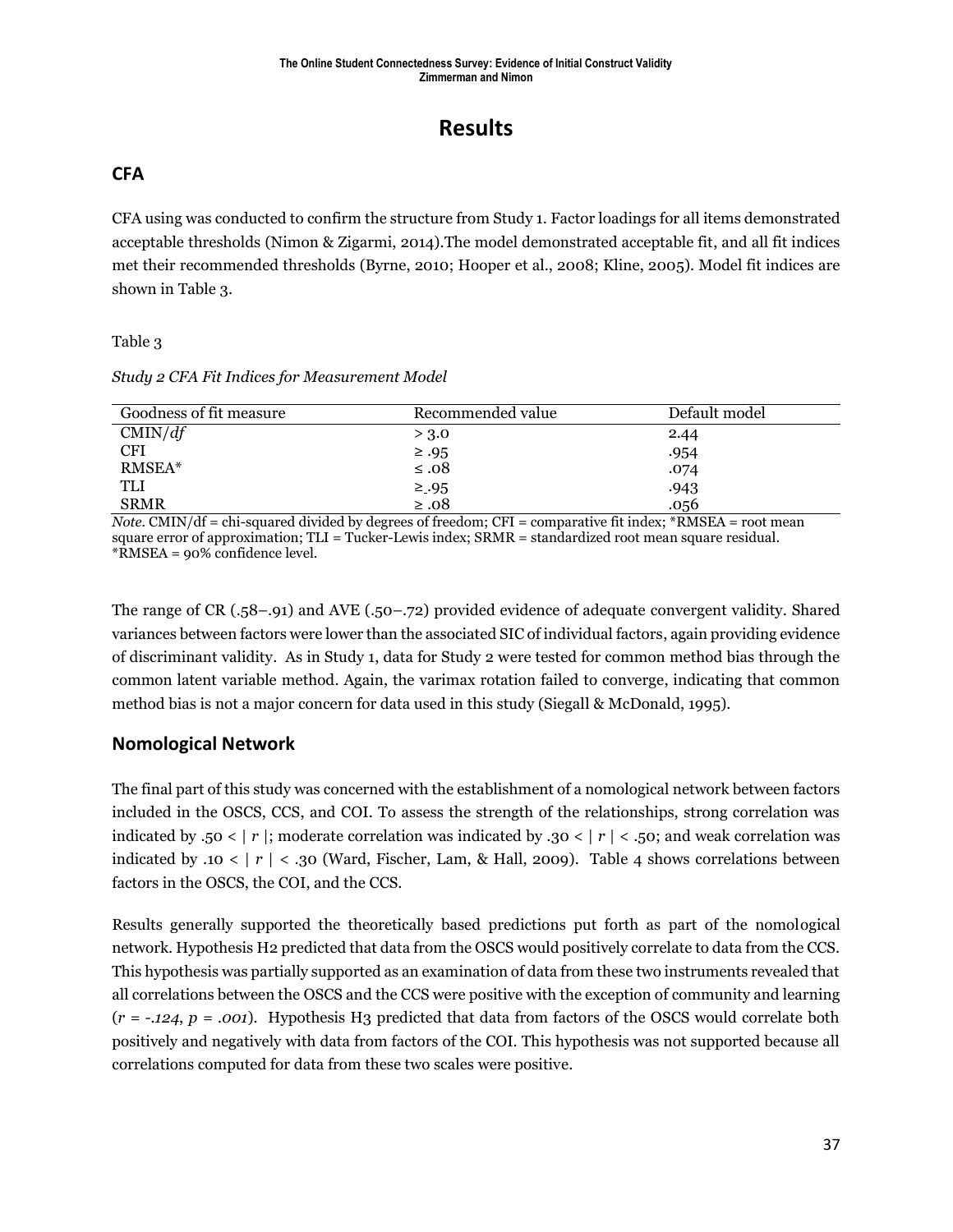## **Results**

#### **CFA**

CFA using was conducted to confirm the structure from Study 1. Factor loadings for all items demonstrated acceptable thresholds (Nimon & Zigarmi, 2014).The model demonstrated acceptable fit, and all fit indices met their recommended thresholds (Byrne, 2010; Hooper et al., 2008; Kline, 2005). Model fit indices are shown in Table 3.

#### Table 3

|  |  |  | Study 2 CFA Fit Indices for Measurement Model |
|--|--|--|-----------------------------------------------|
|--|--|--|-----------------------------------------------|

| Goodness of fit measure | Recommended value | Default model |
|-------------------------|-------------------|---------------|
| CMIN/df                 | > 3.0             | 2.44          |
| <b>CFI</b>              | $\geq .95$        | .954          |
| RMSEA*                  | $.08 \geq$        | .074          |
| TLI                     | $\geq .95$        | .943          |
| <b>SRMR</b>             | $\geq .08$        | .056          |

*Note.* CMIN/df = chi-squared divided by degrees of freedom; CFI = comparative fit index; \*RMSEA = root mean square error of approximation; TLI = Tucker-Lewis index; SRMR = standardized root mean square residual. \*RMSEA = 90% confidence level.

The range of CR (.58–.91) and AVE (.50–.72) provided evidence of adequate convergent validity. Shared variances between factors were lower than the associated SIC of individual factors, again providing evidence of discriminant validity. As in Study 1, data for Study 2 were tested for common method bias through the common latent variable method. Again, the varimax rotation failed to converge, indicating that common method bias is not a major concern for data used in this study (Siegall & McDonald, 1995).

#### **Nomological Network**

The final part of this study was concerned with the establishment of a nomological network between factors included in the OSCS, CCS, and COI. To assess the strength of the relationships, strong correlation was indicated by .50 < | *r* |; moderate correlation was indicated by .30 < | *r* | < .50; and weak correlation was indicated by .10 <  $|r| < .30$  (Ward, Fischer, Lam, & Hall, 2009). Table 4 shows correlations between factors in the OSCS, the COI, and the CCS.

Results generally supported the theoretically based predictions put forth as part of the nomological network. Hypothesis H2 predicted that data from the OSCS would positively correlate to data from the CCS. This hypothesis was partially supported as an examination of data from these two instruments revealed that all correlations between the OSCS and the CCS were positive with the exception of community and learning (*r = -.124*, *p = .001*). Hypothesis H3 predicted that data from factors of the OSCS would correlate both positively and negatively with data from factors of the COI. This hypothesis was not supported because all correlations computed for data from these two scales were positive.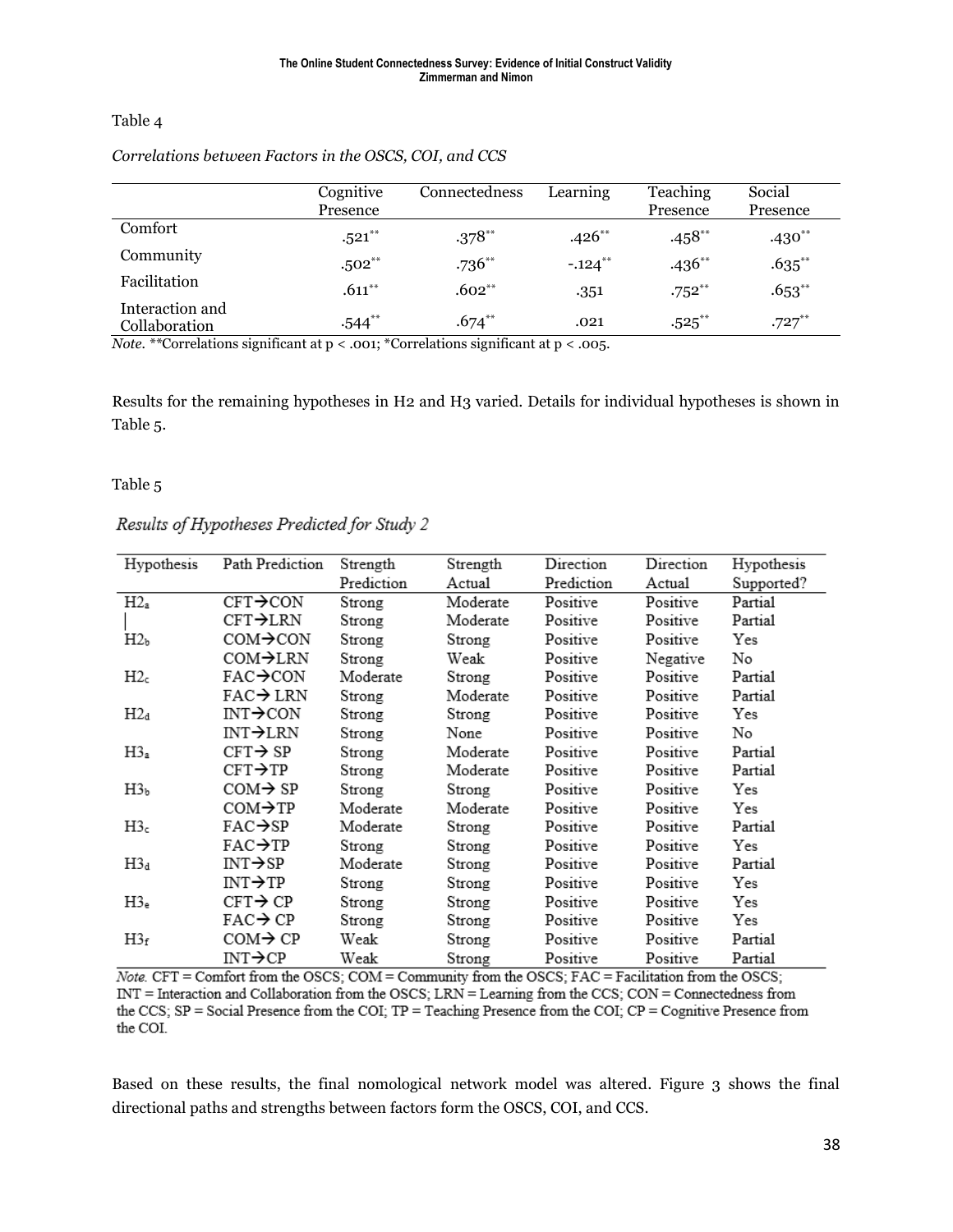#### Table 4

|                                  | Cognitive<br>Presence | Connectedness | Learning   | <b>Teaching</b><br>Presence | Social<br>Presence |
|----------------------------------|-----------------------|---------------|------------|-----------------------------|--------------------|
| Comfort                          | $.521***$             | $.378***$     | $.426**$   | $.458***$                   | $.430**$           |
| Community                        | $.502***$             | $.736**$      | $-.124***$ | $.436**$                    | $.635***$          |
| Facilitation                     | $.611***$             | $.602**$      | .351       | $.752***$                   | $.653***$          |
| Interaction and<br>Collaboration | $.544***$             | $.674***$     | .021       | $.525***$                   | $.727***$          |

#### *Correlations between Factors in the OSCS, COI, and CCS*

*Note.* \*\*Correlations significant at p < .001; \*Correlations significant at p < .005.

Results for the remaining hypotheses in H2 and H3 varied. Details for individual hypotheses is shown in Table 5.

#### Table 5

| Hypothesis<br>Path Prediction |                       | Strength   | Strength | Direction  | Direction | Hypothesis |
|-------------------------------|-----------------------|------------|----------|------------|-----------|------------|
|                               |                       | Prediction | Actual   | Prediction | Actual    | Supported? |
| H2a                           | $CFT \rightarrow CON$ | Strong     | Moderate | Positive   | Positive  | Partial    |
|                               | $CFT \rightarrow LRN$ | Strong     | Moderate | Positive   | Positive  | Partial    |
| H2 <sub>b</sub>               | $COM\rightarrow$ CON  | Strong     | Strong   | Positive   | Positive  | Yes        |
|                               | COM→LRN               | Strong     | Weak     | Positive   | Negative  | No         |
| H2 <sub>c</sub>               | FAC→CON               | Moderate   | Strong   | Positive   | Positive  | Partial    |
|                               | FAC→ LRN              | Strong     | Moderate | Positive   | Positive  | Partial    |
| H2 <sub>d</sub>               | $INT \rightarrow CON$ | Strong     | Strong   | Positive   | Positive  | Yes        |
|                               | INT→LRN               | Strong     | None     | Positive   | Positive  | No         |
| H3a                           | $CFT \rightarrow SP$  | Strong     | Moderate | Positive   | Positive  | Partial    |
|                               | $CFT \rightarrow TP$  | Strong     | Moderate | Positive   | Positive  | Partial    |
| H3 <sub>b</sub>               | $COM \rightarrow SP$  | Strong     | Strong   | Positive   | Positive  | Yes        |
|                               | $COM \rightarrow TP$  | Moderate   | Moderate | Positive   | Positive  | Yes        |
| H3 <sub>c</sub>               | $FAC \rightarrow SP$  | Moderate   | Strong   | Positive   | Positive  | Partial    |
|                               | $FAC \rightarrow TP$  | Strong     | Strong   | Positive   | Positive  | Yes        |
| H3 <sub>d</sub>               | $INT \rightarrow SP$  | Moderate   | Strong   | Positive   | Positive  | Partial    |
|                               | $INT \rightarrow TP$  | Strong     | Strong   | Positive   | Positive  | Yes        |
| H3e                           | $CFT \rightarrow CP$  | Strong     | Strong   | Positive   | Positive  | Yes        |
|                               | $FAC \rightarrow CP$  | Strong     | Strong   | Positive   | Positive  | Yes        |
| H3f                           | $COM \rightarrow CP$  | Weak       | Strong   | Positive   | Positive  | Partial    |
|                               | INT→CP                | Weak       | Strong   | Positive   | Positive  | Partial    |

Results of Hypotheses Predicted for Study 2

Note. CFT = Comfort from the OSCS; COM = Community from the OSCS; FAC = Facilitation from the OSCS; INT = Interaction and Collaboration from the OSCS; LRN = Learning from the CCS; CON = Connectedness from the CCS; SP = Social Presence from the COI; TP = Teaching Presence from the COI; CP = Cognitive Presence from the COI.

Based on these results, the final nomological network model was altered. Figure 3 shows the final directional paths and strengths between factors form the OSCS, COI, and CCS.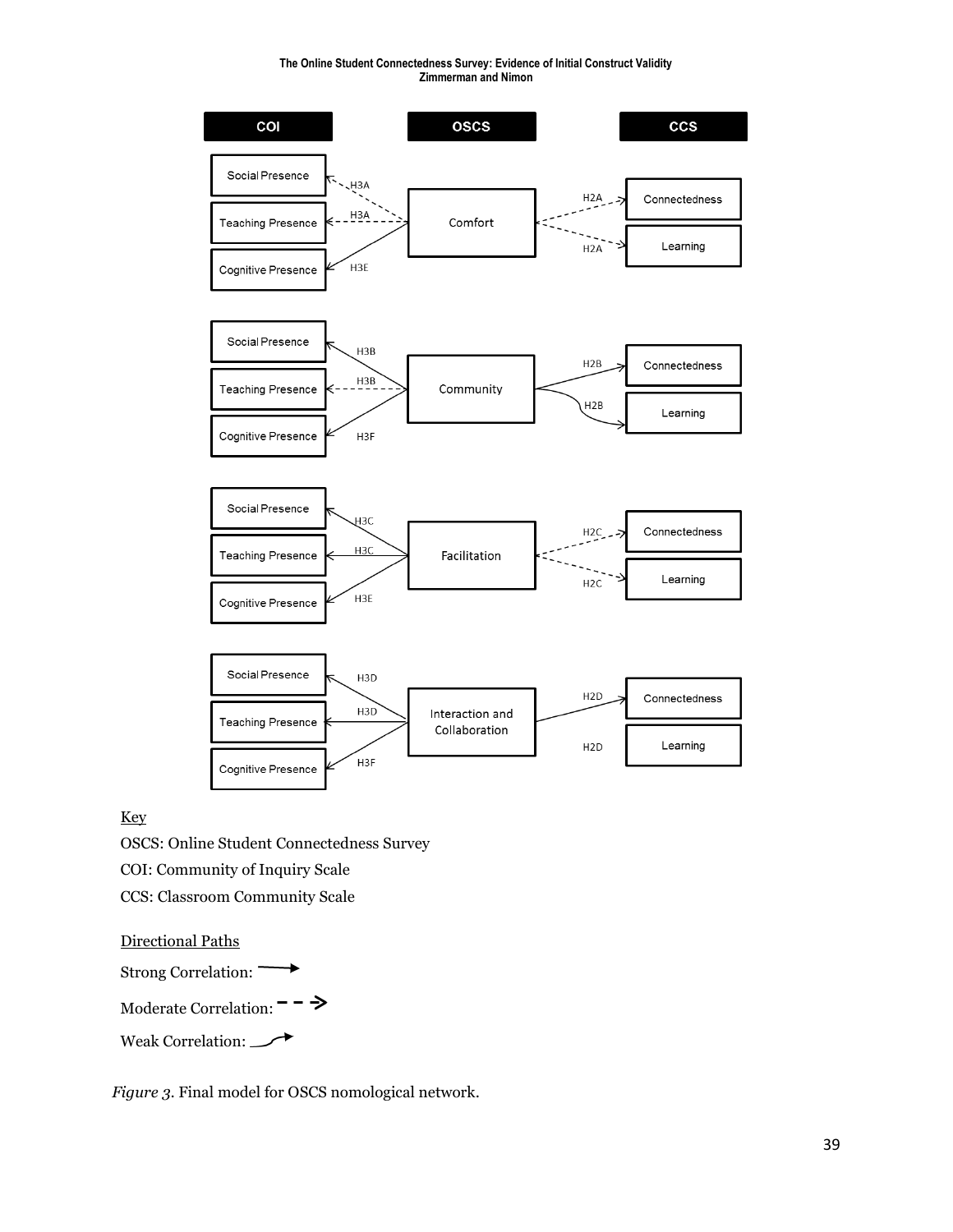**The Online Student Connectedness Survey: Evidence of Initial Construct Validity Zimmerman and Nimon**



Key

OSCS: Online Student Connectedness Survey

COI: Community of Inquiry Scale

CCS: Classroom Community Scale

Directional Paths

Strong Correlation:

– → Moderate Correlation:

Weak Correlation:  $\longrightarrow$ 

*Figure 3.* Final model for OSCS nomological network.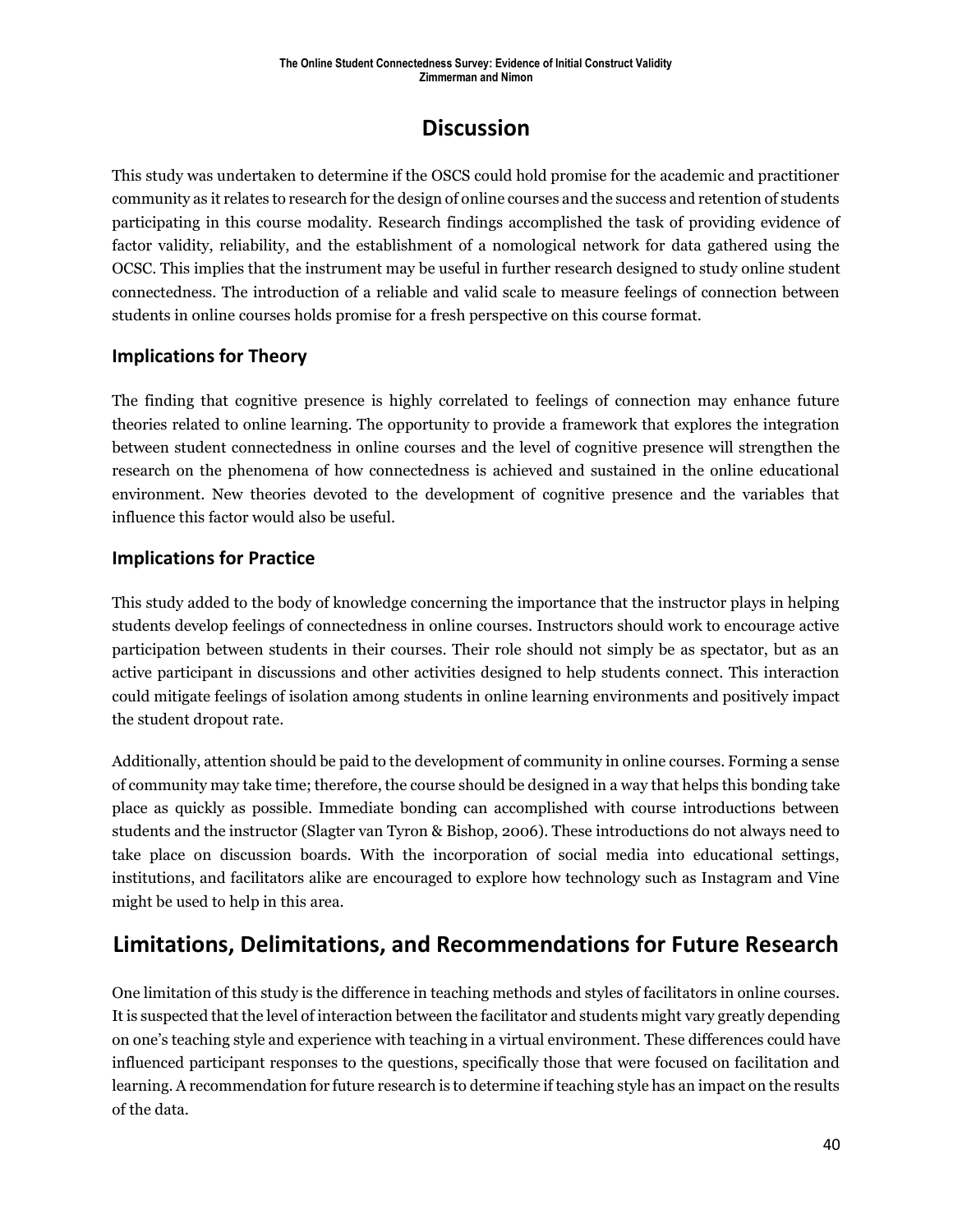## **Discussion**

This study was undertaken to determine if the OSCS could hold promise for the academic and practitioner community as it relates to research for the design of online courses and the success and retention of students participating in this course modality. Research findings accomplished the task of providing evidence of factor validity, reliability, and the establishment of a nomological network for data gathered using the OCSC. This implies that the instrument may be useful in further research designed to study online student connectedness. The introduction of a reliable and valid scale to measure feelings of connection between students in online courses holds promise for a fresh perspective on this course format.

### **Implications for Theory**

The finding that cognitive presence is highly correlated to feelings of connection may enhance future theories related to online learning. The opportunity to provide a framework that explores the integration between student connectedness in online courses and the level of cognitive presence will strengthen the research on the phenomena of how connectedness is achieved and sustained in the online educational environment. New theories devoted to the development of cognitive presence and the variables that influence this factor would also be useful.

### **Implications for Practice**

This study added to the body of knowledge concerning the importance that the instructor plays in helping students develop feelings of connectedness in online courses. Instructors should work to encourage active participation between students in their courses. Their role should not simply be as spectator, but as an active participant in discussions and other activities designed to help students connect. This interaction could mitigate feelings of isolation among students in online learning environments and positively impact the student dropout rate.

Additionally, attention should be paid to the development of community in online courses. Forming a sense of community may take time; therefore, the course should be designed in a way that helps this bonding take place as quickly as possible. Immediate bonding can accomplished with course introductions between students and the instructor (Slagter van Tyron & Bishop, 2006). These introductions do not always need to take place on discussion boards. With the incorporation of social media into educational settings, institutions, and facilitators alike are encouraged to explore how technology such as Instagram and Vine might be used to help in this area.

## **Limitations, Delimitations, and Recommendations for Future Research**

One limitation of this study is the difference in teaching methods and styles of facilitators in online courses. It is suspected that the level of interaction between the facilitator and students might vary greatly depending on one's teaching style and experience with teaching in a virtual environment. These differences could have influenced participant responses to the questions, specifically those that were focused on facilitation and learning. A recommendation for future research is to determine if teaching style has an impact on the results of the data.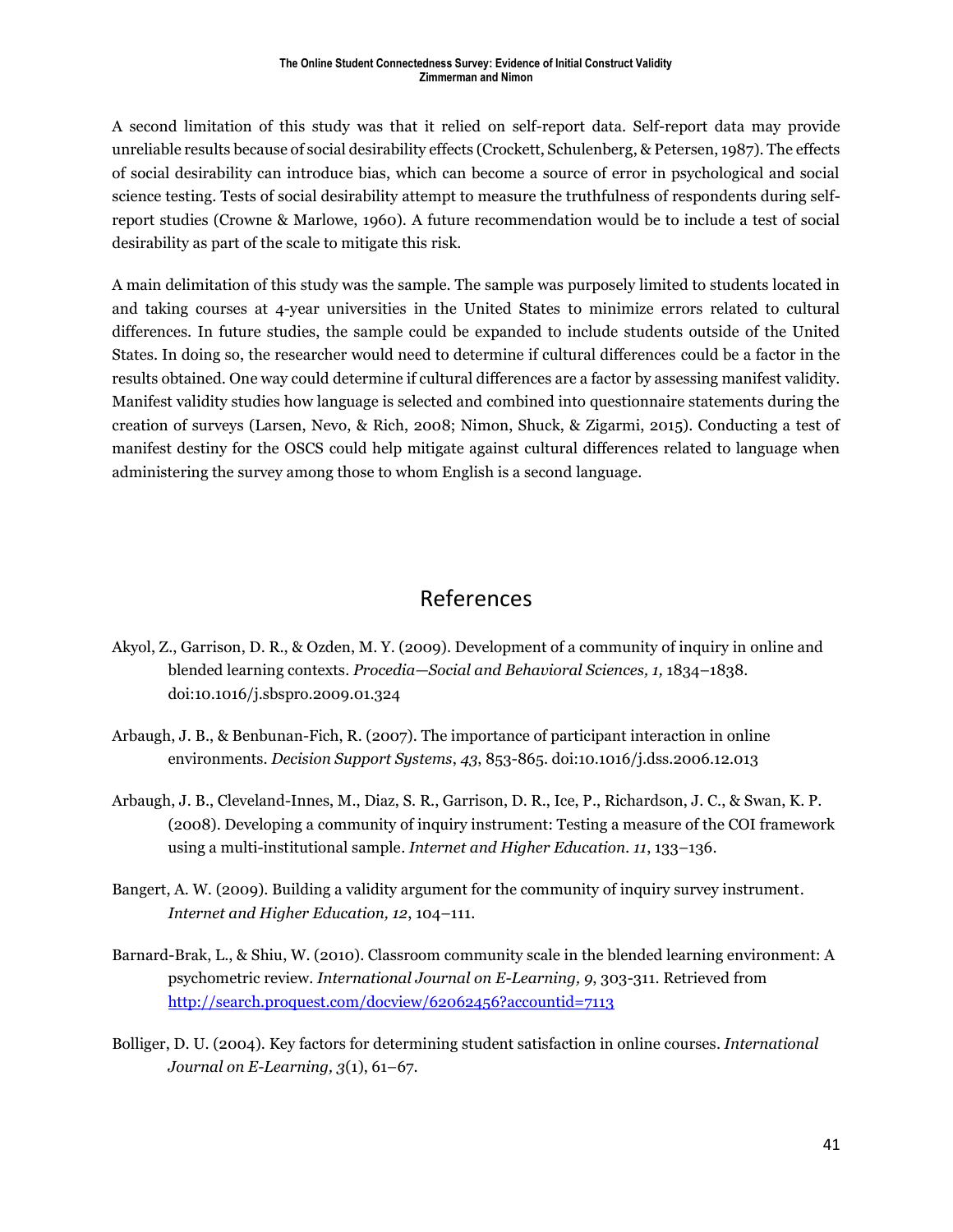A second limitation of this study was that it relied on self-report data. Self-report data may provide unreliable results because of social desirability effects (Crockett, Schulenberg, & Petersen, 1987). The effects of social desirability can introduce bias, which can become a source of error in psychological and social science testing. Tests of social desirability attempt to measure the truthfulness of respondents during selfreport studies (Crowne & Marlowe, 1960). A future recommendation would be to include a test of social desirability as part of the scale to mitigate this risk.

A main delimitation of this study was the sample. The sample was purposely limited to students located in and taking courses at 4-year universities in the United States to minimize errors related to cultural differences. In future studies, the sample could be expanded to include students outside of the United States. In doing so, the researcher would need to determine if cultural differences could be a factor in the results obtained. One way could determine if cultural differences are a factor by assessing manifest validity. Manifest validity studies how language is selected and combined into questionnaire statements during the creation of surveys (Larsen, Nevo, & Rich, 2008; Nimon, Shuck, & Zigarmi, 2015). Conducting a test of manifest destiny for the OSCS could help mitigate against cultural differences related to language when administering the survey among those to whom English is a second language.

## References

- Akyol, Z., Garrison, D. R., & Ozden, M. Y. (2009). Development of a community of inquiry in online and blended learning contexts. *Procedia—Social and Behavioral Sciences, 1,* 1834–1838. doi:10.1016/j.sbspro.2009.01.324
- Arbaugh, J. B., & Benbunan-Fich, R. (2007). The importance of participant interaction in online environments. *Decision Support Systems*, *43*, 853-865. doi:10.1016/j.dss.2006.12.013
- Arbaugh, J. B., Cleveland-Innes, M., Diaz, S. R., Garrison, D. R., Ice, P., Richardson, J. C., & Swan, K. P. (2008). Developing a community of inquiry instrument: Testing a measure of the COI framework using a multi-institutional sample. *Internet and Higher Education. 11*, 133–136.
- Bangert, A. W. (2009). Building a validity argument for the community of inquiry survey instrument. *Internet and Higher Education, 12*, 104–111.
- Barnard-Brak, L., & Shiu, W. (2010). Classroom community scale in the blended learning environment: A psychometric review. *International Journal on E-Learning, 9*, 303-311. Retrieved from <http://search.proquest.com/docview/62062456?accountid=7113>
- Bolliger, D. U. (2004). Key factors for determining student satisfaction in online courses. *International Journal on E-Learning, 3*(1), 61–67.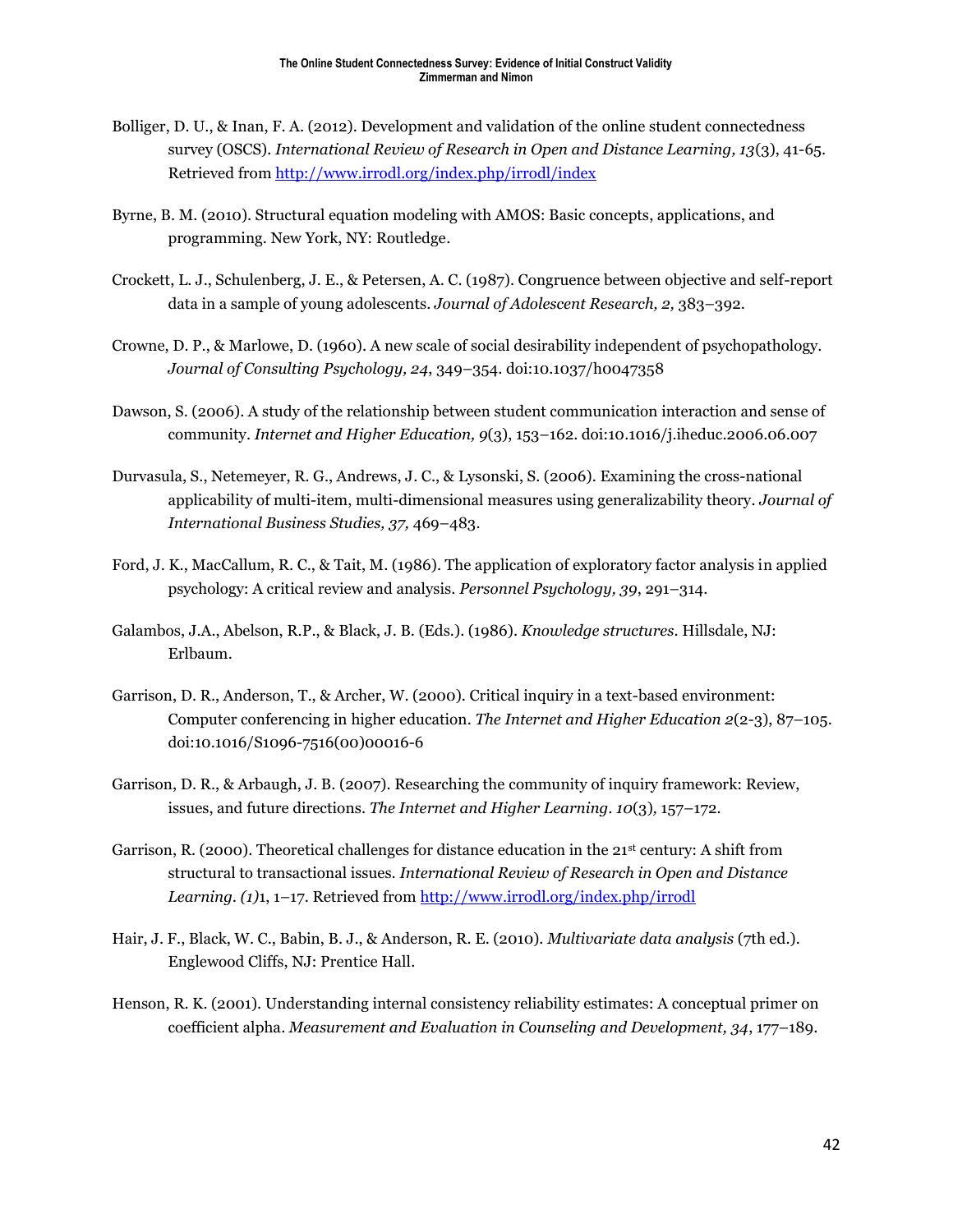- Bolliger, D. U., & Inan, F. A. (2012). Development and validation of the online student connectedness survey (OSCS). *International Review of Research in Open and Distance Learning, 13*(3), 41-65. Retrieved from<http://www.irrodl.org/index.php/irrodl/index>
- Byrne, B. M. (2010). Structural equation modeling with AMOS: Basic concepts, applications, and programming. New York, NY: Routledge.
- Crockett, L. J., Schulenberg, J. E., & Petersen, A. C. (1987). Congruence between objective and self-report data in a sample of young adolescents. *Journal of Adolescent Research, 2,* 383–392.
- Crowne, D. P., & Marlowe, D. (1960). A new scale of social desirability independent of psychopathology. *Journal of Consulting Psychology, 24*, 349–354. doi:10.1037/h0047358
- Dawson, S. (2006). A study of the relationship between student communication interaction and sense of community. *Internet and Higher Education, 9*(3), 153–162. doi:10.1016/j.iheduc.2006.06.007
- Durvasula, S., Netemeyer, R. G., Andrews, J. C., & Lysonski, S. (2006). Examining the cross-national applicability of multi-item, multi-dimensional measures using generalizability theory. *Journal of International Business Studies, 37,* 469–483.
- Ford, J. K., MacCallum, R. C., & Tait, M. (1986). The application of exploratory factor analysis in applied psychology: A critical review and analysis. *Personnel Psychology, 39*, 291–314.
- Galambos, J.A., Abelson, R.P., & Black, J. B. (Eds.). (1986). *Knowledge structures*. Hillsdale, NJ: Erlbaum.
- Garrison, D. R., Anderson, T., & Archer, W. (2000). Critical inquiry in a text-based environment: Computer conferencing in higher education. *The Internet and Higher Education 2*(2-3), 87–105. doi:10.1016/S1096-7516(00)00016-6
- Garrison, D. R., & Arbaugh, J. B. (2007). Researching the community of inquiry framework: Review, issues, and future directions. *The Internet and Higher Learning. 10*(3)*,* 157–172.
- Garrison, R. (2000). Theoretical challenges for distance education in the 21st century: A shift from structural to transactional issues. *International Review of Research in Open and Distance Learning. (1)*1, 1–17. Retrieved from<http://www.irrodl.org/index.php/irrodl>
- Hair, J. F., Black, W. C., Babin, B. J., & Anderson, R. E. (2010). *Multivariate data analysis* (7th ed.). Englewood Cliffs, NJ: Prentice Hall.
- Henson, R. K. (2001). Understanding internal consistency reliability estimates: A conceptual primer on coefficient alpha. *Measurement and Evaluation in Counseling and Development, 34*, 177–189.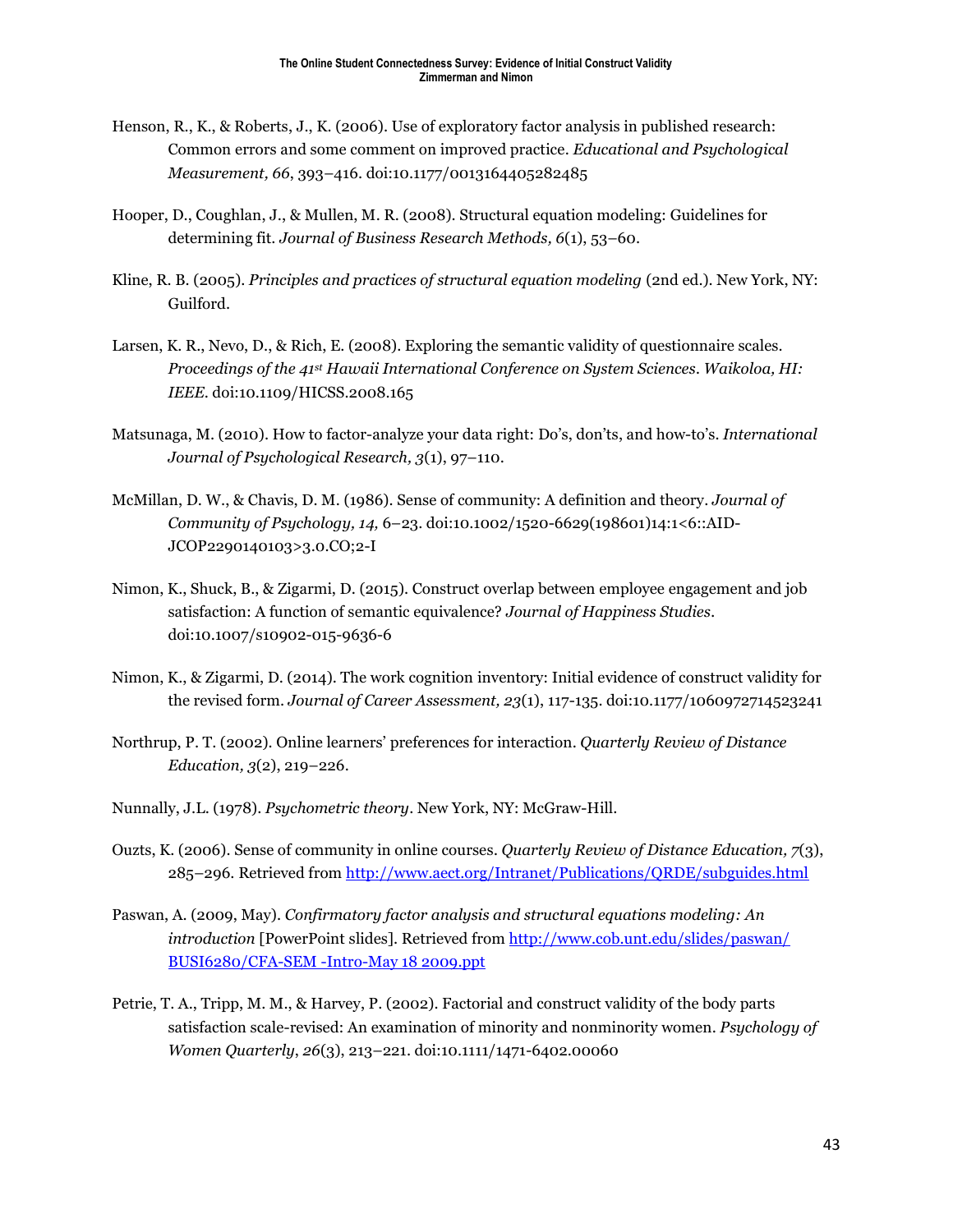- Henson, R., K., & Roberts, J., K. (2006). Use of exploratory factor analysis in published research: Common errors and some comment on improved practice. *Educational and Psychological Measurement, 66*, 393–416. doi:10.1177/0013164405282485
- Hooper, D., Coughlan, J., & Mullen, M. R. (2008). Structural equation modeling: Guidelines for determining fit. *Journal of Business Research Methods, 6*(1), 53–60.
- Kline, R. B. (2005). *Principles and practices of structural equation modeling* (2nd ed.). New York, NY: Guilford.
- Larsen, K. R., Nevo, D., & Rich, E. (2008). Exploring the semantic validity of questionnaire scales. *Proceedings of the 41st Hawaii International Conference on System Sciences. Waikoloa, HI: IEEE*. doi:10.1109/HICSS.2008.165
- Matsunaga, M. (2010). How to factor-analyze your data right: Do's, don'ts, and how-to's. *International Journal of Psychological Research, 3*(1), 97–110.
- McMillan, D. W., & Chavis, D. M. (1986). Sense of community: A definition and theory. *Journal of Community of Psychology, 14,* 6–23. doi:10.1002/1520-6629(198601)14:1<6::AID-JCOP2290140103>3.0.CO;2-I
- Nimon, K., Shuck, B., & Zigarmi, D. (2015). Construct overlap between employee engagement and job satisfaction: A function of semantic equivalence? *Journal of Happiness Studies.* doi:10.1007/s10902-015-9636-6
- Nimon, K., & Zigarmi, D. (2014). The work cognition inventory: Initial evidence of construct validity for the revised form. *Journal of Career Assessment, 23*(1), 117-135. doi:10.1177/1060972714523241
- Northrup, P. T. (2002). Online learners' preferences for interaction. *Quarterly Review of Distance Education, 3*(2), 219–226.
- Nunnally, J.L. (1978). *Psychometric theory*. New York, NY: McGraw-Hill.
- Ouzts, K. (2006). Sense of community in online courses*. Quarterly Review of Distance Education, 7*(3), 285–296. Retrieved from<http://www.aect.org/Intranet/Publications/QRDE/subguides.html>
- Paswan, A. (2009, May). *Confirmatory factor analysis and structural equations modeling: An introduction* [PowerPoint slides]. Retrieved from [http://www.cob.unt.edu/slides/paswan/](http://www.cob.unt.edu/slides/paswan/%20BUSI6280/CFA-SEM%20-Intro-May%2018%202009.ppt)  [BUSI6280/CFA-SEM -Intro-May 18 2009.ppt](http://www.cob.unt.edu/slides/paswan/%20BUSI6280/CFA-SEM%20-Intro-May%2018%202009.ppt)
- Petrie, T. A., Tripp, M. M., & Harvey, P. (2002). Factorial and construct validity of the body parts satisfaction scale-revised: An examination of minority and nonminority women. *Psychology of Women Quarterly*, *26*(3), 213–221. doi:10.1111/1471-6402.00060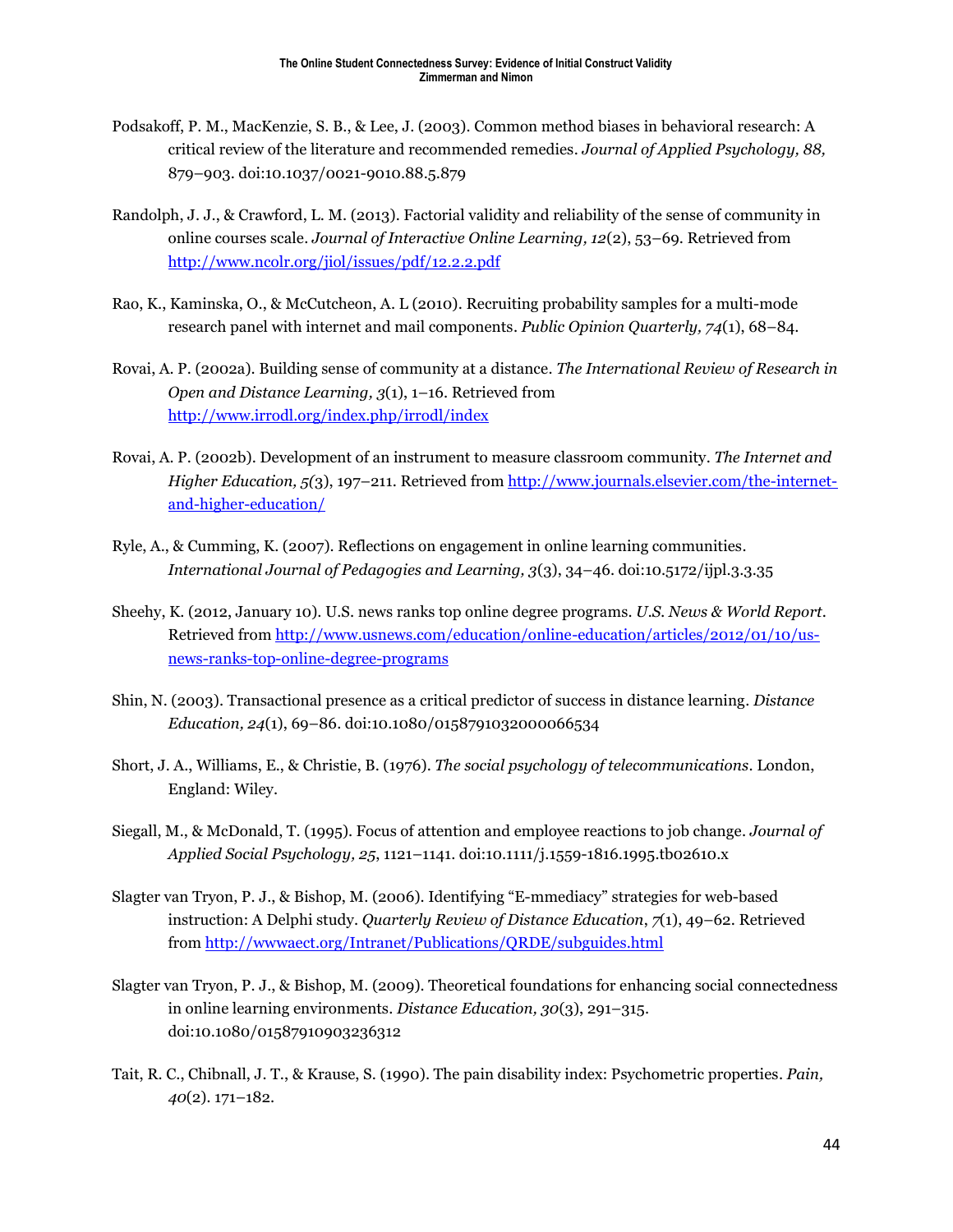- Podsakoff, P. M., MacKenzie, S. B., & Lee, J. (2003). Common method biases in behavioral research: A critical review of the literature and recommended remedies. *Journal of Applied Psychology, 88,*  879–903. doi:10.1037/0021-9010.88.5.879
- Randolph, J. J., & Crawford, L. M. (2013). Factorial validity and reliability of the sense of community in online courses scale. *Journal of Interactive Online Learning, 12*(2), 53–69. Retrieved from <http://www.ncolr.org/jiol/issues/pdf/12.2.2.pdf>
- Rao, K., Kaminska, O., & McCutcheon, A. L (2010). Recruiting probability samples for a multi-mode research panel with internet and mail components. *Public Opinion Quarterly, 74*(1), 68–84.
- Rovai, A. P. (2002a). Building sense of community at a distance. *The International Review of Research in Open and Distance Learning, 3*(1), 1–16. Retrieved from <http://www.irrodl.org/index.php/irrodl/index>
- Rovai, A. P. (2002b). Development of an instrument to measure classroom community. *The Internet and Higher Education, 5(*3), 197–211. Retrieved fro[m http://www.journals.elsevier.com/the-internet](http://www.journals.elsevier.com/the-internet-and-higher-education/)[and-higher-education/](http://www.journals.elsevier.com/the-internet-and-higher-education/)
- Ryle, A., & Cumming, K. (2007). Reflections on engagement in online learning communities. *International Journal of Pedagogies and Learning, 3*(3), 34–46. doi:10.5172/ijpl.3.3.35
- Sheehy, K. (2012, January 10). U.S. news ranks top online degree programs. *U.S. News & World Report*. Retrieved from [http://www.usnews.com/education/online-education/articles/2012/01/10/us](http://www.usnews.com/education/online-education/articles/2012/01/10/us-news-ranks-top-online-degree-programs)[news-ranks-top-online-degree-programs](http://www.usnews.com/education/online-education/articles/2012/01/10/us-news-ranks-top-online-degree-programs)
- Shin, N. (2003). Transactional presence as a critical predictor of success in distance learning. *Distance Education, 24*(1), 69–86. doi:10.1080/0158791032000066534
- Short, J. A., Williams, E., & Christie, B. (1976). *The social psychology of telecommunications*. London, England: Wiley.
- Siegall, M., & McDonald, T. (1995). Focus of attention and employee reactions to job change. *Journal of Applied Social Psychology, 25*, 1121–1141. doi:10.1111/j.1559-1816.1995.tb02610.x
- Slagter van Tryon, P. J., & Bishop, M. (2006). Identifying "E-mmediacy" strategies for web-based instruction: A Delphi study. *Quarterly Review of Distance Education*, *7*(1), 49–62. Retrieved from<http://wwwaect.org/Intranet/Publications/QRDE/subguides.html>
- Slagter van Tryon, P. J., & Bishop, M. (2009). Theoretical foundations for enhancing social connectedness in online learning environments. *Distance Education, 30*(3), 291–315. doi:10.1080/01587910903236312
- Tait, R. C., Chibnall, J. T., & Krause, S. (1990). The pain disability index: Psychometric properties. *Pain, 40*(2)*.* 171–182.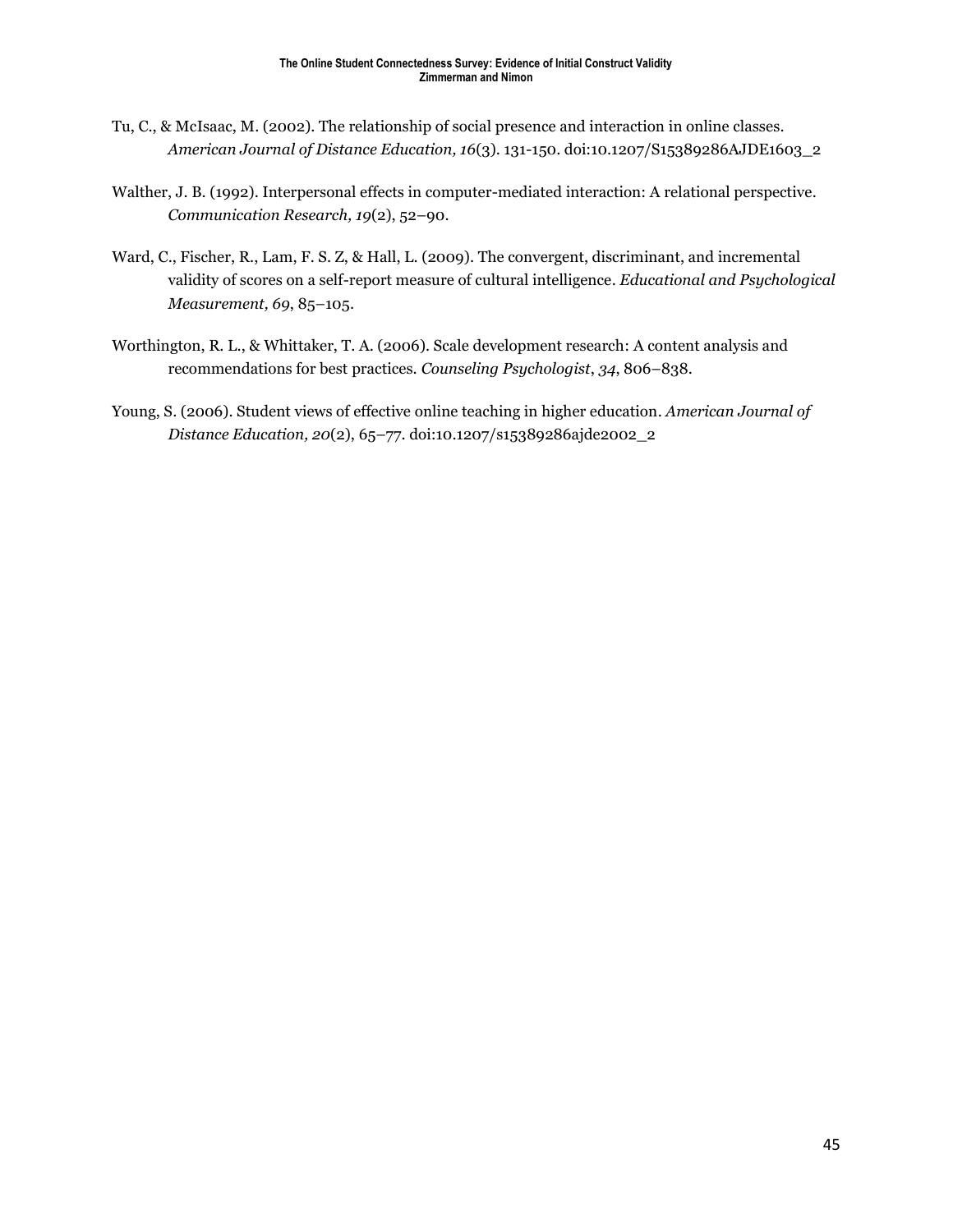- Tu, C., & McIsaac, M. (2002). The relationship of social presence and interaction in online classes. *American Journal of Distance Education, 16*(3). 131-150. doi:10.1207/S15389286AJDE1603\_2
- Walther, J. B. (1992). Interpersonal effects in computer-mediated interaction: A relational perspective. *Communication Research, 19*(2), 52–90.
- Ward, C., Fischer, R., Lam, F. S. Z, & Hall, L. (2009). The convergent, discriminant, and incremental validity of scores on a self-report measure of cultural intelligence. *Educational and Psychological Measurement, 69*, 85–105.
- Worthington, R. L., & Whittaker, T. A. (2006). Scale development research: A content analysis and recommendations for best practices. *Counseling Psychologist*, *34*, 806–838.
- Young, S. (2006). Student views of effective online teaching in higher education. *American Journal of Distance Education, 20*(2), 65–77. doi:10.1207/s15389286ajde2002\_2